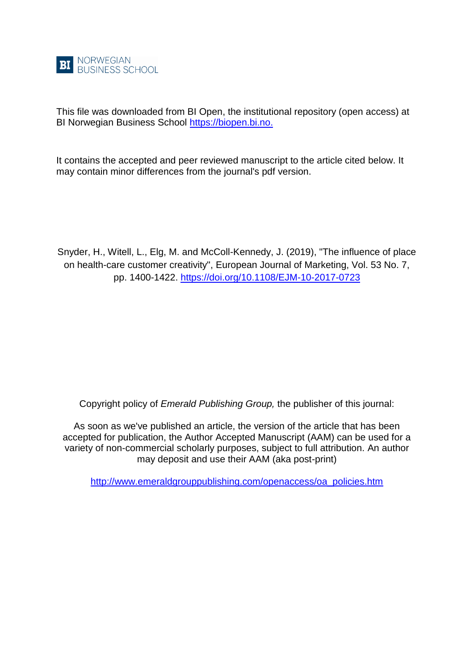

This file was downloaded from BI Open, the institutional repository (open access) at BI Norwegian Business School [https://biopen.bi.no.](https://biopen.bi.no./)

It contains the accepted and peer reviewed manuscript to the article cited below. It may contain minor differences from the journal's pdf version.

Snyder, H., Witell, L., Elg, M. and McColl-Kennedy, J. (2019), "The influence of place on health-care customer creativity", European Journal of Marketing, Vol. 53 No. 7, pp. 1400-1422.<https://doi.org/10.1108/EJM-10-2017-0723>

Copyright policy of *Emerald Publishing Group,* the publisher of this journal:

As soon as we've published an article, the version of the article that has been accepted for publication, the Author Accepted Manuscript (AAM) can be used for a variety of non-commercial scholarly purposes, subject to full attribution. An author may deposit and use their AAM (aka post-print)

[http://www.emeraldgrouppublishing.com/openaccess/oa\\_policies.htm](http://www.emeraldgrouppublishing.com/openaccess/oa_policies.htm)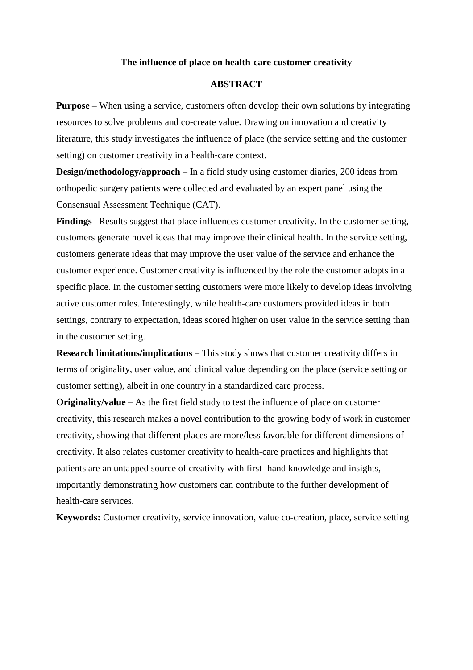#### **The influence of place on health-care customer creativity**

## **ABSTRACT**

**Purpose** – When using a service, customers often develop their own solutions by integrating resources to solve problems and co-create value. Drawing on innovation and creativity literature, this study investigates the influence of place (the service setting and the customer setting) on customer creativity in a health-care context.

**Design/methodology/approach** – In a field study using customer diaries, 200 ideas from orthopedic surgery patients were collected and evaluated by an expert panel using the Consensual Assessment Technique (CAT).

**Findings** –Results suggest that place influences customer creativity. In the customer setting, customers generate novel ideas that may improve their clinical health. In the service setting, customers generate ideas that may improve the user value of the service and enhance the customer experience. Customer creativity is influenced by the role the customer adopts in a specific place. In the customer setting customers were more likely to develop ideas involving active customer roles. Interestingly, while health-care customers provided ideas in both settings, contrary to expectation, ideas scored higher on user value in the service setting than in the customer setting.

**Research limitations/implications** – This study shows that customer creativity differs in terms of originality, user value, and clinical value depending on the place (service setting or customer setting), albeit in one country in a standardized care process.

**Originality/value** – As the first field study to test the influence of place on customer creativity, this research makes a novel contribution to the growing body of work in customer creativity, showing that different places are more/less favorable for different dimensions of creativity. It also relates customer creativity to health-care practices and highlights that patients are an untapped source of creativity with first- hand knowledge and insights, importantly demonstrating how customers can contribute to the further development of health-care services.

**Keywords:** Customer creativity, service innovation, value co-creation, place, service setting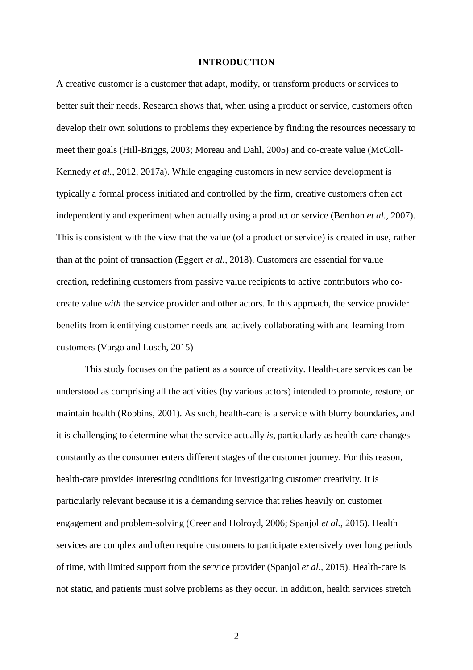#### **INTRODUCTION**

A creative customer is a customer that adapt, modify, or transform products or services to better suit their needs. Research shows that, when using a product or service, customers often develop their own solutions to problems they experience by finding the resources necessary to meet their goals (Hill-Briggs, 2003; Moreau and Dahl, 2005) and co-create value (McColl-Kennedy *et al.,* 2012*,* 2017a). While engaging customers in new service development is typically a formal process initiated and controlled by the firm, creative customers often act independently and experiment when actually using a product or service (Berthon *et al.,* 2007). This is consistent with the view that the value (of a product or service) is created in use, rather than at the point of transaction (Eggert *et al.,* 2018). Customers are essential for value creation, redefining customers from passive value recipients to active contributors who cocreate value *with* the service provider and other actors. In this approach, the service provider benefits from identifying customer needs and actively collaborating with and learning from customers (Vargo and Lusch, 2015)

This study focuses on the patient as a source of creativity. Health-care services can be understood as comprising all the activities (by various actors) intended to promote, restore, or maintain health (Robbins, 2001). As such, health-care is a service with blurry boundaries, and it is challenging to determine what the service actually *is*, particularly as health-care changes constantly as the consumer enters different stages of the customer journey. For this reason, health-care provides interesting conditions for investigating customer creativity. It is particularly relevant because it is a demanding service that relies heavily on customer engagement and problem-solving (Creer and Holroyd, 2006; Spanjol *et al.,* 2015). Health services are complex and often require customers to participate extensively over long periods of time, with limited support from the service provider (Spanjol *et al.,* 2015). Health-care is not static, and patients must solve problems as they occur. In addition, health services stretch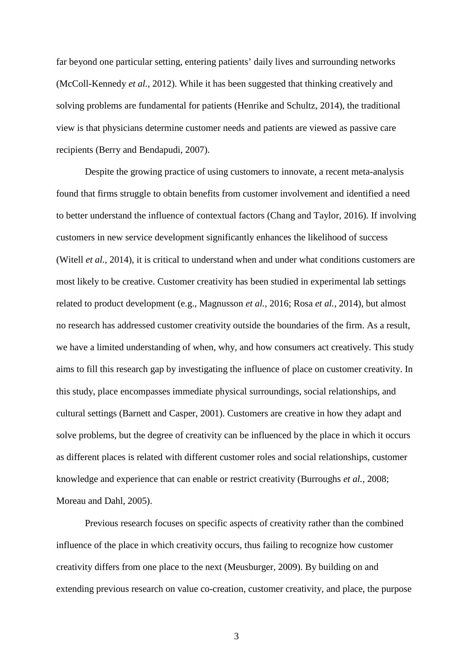far beyond one particular setting, entering patients' daily lives and surrounding networks (McColl-Kennedy *et al.,* 2012). While it has been suggested that thinking creatively and solving problems are fundamental for patients (Henrike and Schultz, 2014), the traditional view is that physicians determine customer needs and patients are viewed as passive care recipients (Berry and Bendapudi, 2007).

Despite the growing practice of using customers to innovate, a recent meta-analysis found that firms struggle to obtain benefits from customer involvement and identified a need to better understand the influence of contextual factors (Chang and Taylor, 2016). If involving customers in new service development significantly enhances the likelihood of success (Witell *et al.,* 2014), it is critical to understand when and under what conditions customers are most likely to be creative. Customer creativity has been studied in experimental lab settings related to product development (e.g., Magnusson *et al.,* 2016; Rosa *et al.,* 2014), but almost no research has addressed customer creativity outside the boundaries of the firm. As a result, we have a limited understanding of when, why, and how consumers act creatively. This study aims to fill this research gap by investigating the influence of place on customer creativity. In this study, place encompasses immediate physical surroundings, social relationships, and cultural settings (Barnett and Casper, 2001). Customers are creative in how they adapt and solve problems, but the degree of creativity can be influenced by the place in which it occurs as different places is related with different customer roles and social relationships, customer knowledge and experience that can enable or restrict creativity (Burroughs *et al.,* 2008; Moreau and Dahl, 2005).

Previous research focuses on specific aspects of creativity rather than the combined influence of the place in which creativity occurs, thus failing to recognize how customer creativity differs from one place to the next (Meusburger, 2009). By building on and extending previous research on value co-creation, customer creativity, and place, the purpose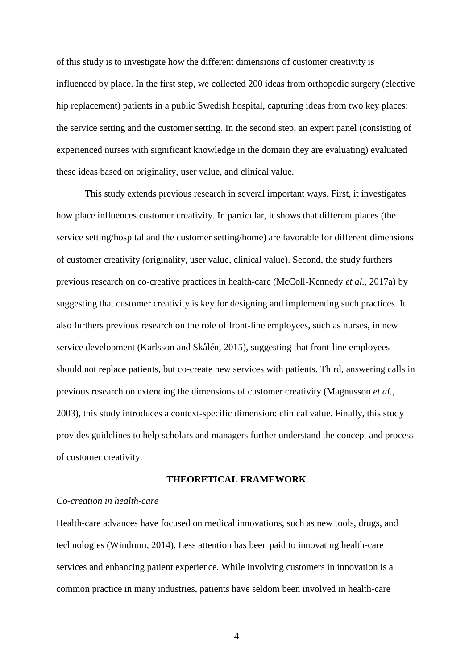of this study is to investigate how the different dimensions of customer creativity is influenced by place. In the first step, we collected 200 ideas from orthopedic surgery (elective hip replacement) patients in a public Swedish hospital, capturing ideas from two key places: the service setting and the customer setting. In the second step, an expert panel (consisting of experienced nurses with significant knowledge in the domain they are evaluating) evaluated these ideas based on originality, user value, and clinical value.

This study extends previous research in several important ways. First, it investigates how place influences customer creativity. In particular, it shows that different places (the service setting/hospital and the customer setting/home) are favorable for different dimensions of customer creativity (originality, user value, clinical value). Second, the study furthers previous research on co-creative practices in health-care (McColl-Kennedy *et al.,* 2017a) by suggesting that customer creativity is key for designing and implementing such practices. It also furthers previous research on the role of front-line employees, such as nurses, in new service development (Karlsson and Skålén, 2015), suggesting that front-line employees should not replace patients, but co-create new services with patients. Third, answering calls in previous research on extending the dimensions of customer creativity (Magnusson *et al.*, 2003), this study introduces a context-specific dimension: clinical value. Finally, this study provides guidelines to help scholars and managers further understand the concept and process of customer creativity.

#### **THEORETICAL FRAMEWORK**

## *Co-creation in health-care*

Health-care advances have focused on medical innovations, such as new tools, drugs, and technologies (Windrum, 2014). Less attention has been paid to innovating health-care services and enhancing patient experience. While involving customers in innovation is a common practice in many industries, patients have seldom been involved in health-care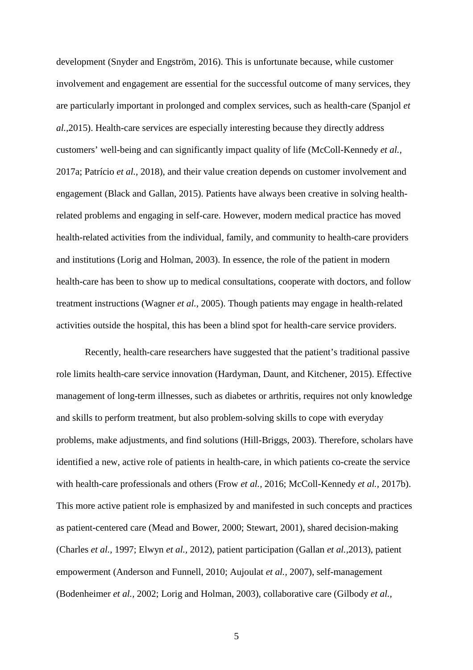development (Snyder and Engström, 2016). This is unfortunate because, while customer involvement and engagement are essential for the successful outcome of many services, they are particularly important in prolonged and complex services, such as health-care (Spanjol *et al.,*2015). Health-care services are especially interesting because they directly address customers' well-being and can significantly impact quality of life (McColl-Kennedy *et al.,* 2017a; Patrício *et al.,* 2018), and their value creation depends on customer involvement and engagement (Black and Gallan, 2015). Patients have always been creative in solving healthrelated problems and engaging in self-care. However, modern medical practice has moved health-related activities from the individual, family, and community to health-care providers and institutions (Lorig and Holman, 2003). In essence, the role of the patient in modern health-care has been to show up to medical consultations, cooperate with doctors, and follow treatment instructions (Wagner *et al.,* 2005). Though patients may engage in health-related activities outside the hospital, this has been a blind spot for health-care service providers.

Recently, health-care researchers have suggested that the patient's traditional passive role limits health-care service innovation (Hardyman, Daunt, and Kitchener, 2015). Effective management of long-term illnesses, such as diabetes or arthritis, requires not only knowledge and skills to perform treatment, but also problem-solving skills to cope with everyday problems, make adjustments, and find solutions (Hill-Briggs, 2003). Therefore, scholars have identified a new, active role of patients in health-care, in which patients co-create the service with health-care professionals and others (Frow *et al.,* 2016; McColl-Kennedy *et al.,* 2017b). This more active patient role is emphasized by and manifested in such concepts and practices as patient-centered care (Mead and Bower, 2000; Stewart, 2001), shared decision-making (Charles *et al.,* 1997; Elwyn *et al.,* 2012), patient participation (Gallan *et al.,*2013), patient empowerment (Anderson and Funnell, 2010; Aujoulat *et al.,* 2007), self-management (Bodenheimer *et al.,* 2002; Lorig and Holman, 2003), collaborative care (Gilbody *et al.,*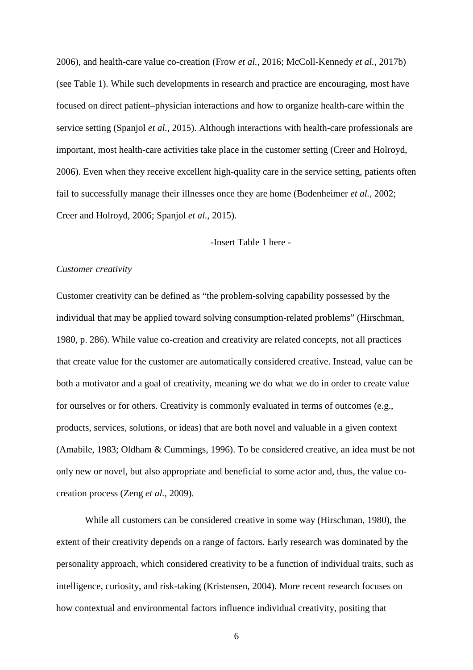2006), and health-care value co-creation (Frow *et al.,* 2016; McColl-Kennedy *et al.,* 2017b) (see Table 1). While such developments in research and practice are encouraging, most have focused on direct patient–physician interactions and how to organize health-care within the service setting (Spanjol *et al.,* 2015). Although interactions with health-care professionals are important, most health-care activities take place in the customer setting (Creer and Holroyd, 2006). Even when they receive excellent high-quality care in the service setting, patients often fail to successfully manage their illnesses once they are home (Bodenheimer *et al.,* 2002; Creer and Holroyd, 2006; Spanjol *et al.,* 2015).

-Insert Table 1 here -

### *Customer creativity*

Customer creativity can be defined as "the problem-solving capability possessed by the individual that may be applied toward solving consumption-related problems" (Hirschman, 1980, p. 286). While value co-creation and creativity are related concepts, not all practices that create value for the customer are automatically considered creative. Instead, value can be both a motivator and a goal of creativity, meaning we do what we do in order to create value for ourselves or for others. Creativity is commonly evaluated in terms of outcomes (e.g., products, services, solutions, or ideas) that are both novel and valuable in a given context (Amabile, 1983; Oldham & Cummings, 1996). To be considered creative, an idea must be not only new or novel, but also appropriate and beneficial to some actor and, thus, the value cocreation process (Zeng *et al.,* 2009).

While all customers can be considered creative in some way (Hirschman, 1980), the extent of their creativity depends on a range of factors. Early research was dominated by the personality approach, which considered creativity to be a function of individual traits, such as intelligence, curiosity, and risk-taking (Kristensen, 2004). More recent research focuses on how contextual and environmental factors influence individual creativity, positing that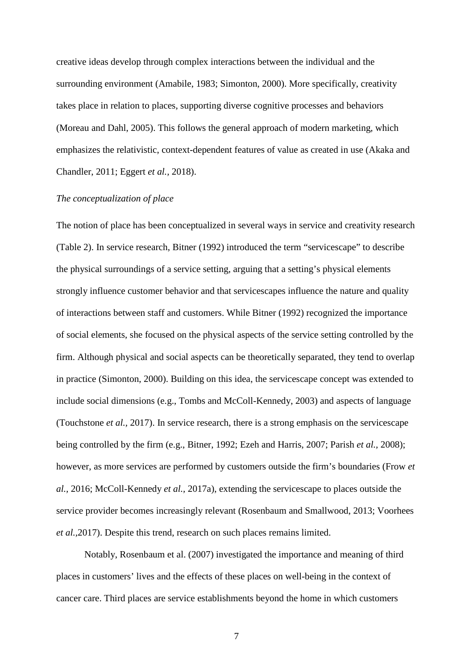creative ideas develop through complex interactions between the individual and the surrounding environment (Amabile, 1983; Simonton, 2000). More specifically, creativity takes place in relation to places, supporting diverse cognitive processes and behaviors (Moreau and Dahl, 2005). This follows the general approach of modern marketing, which emphasizes the relativistic, context-dependent features of value as created in use (Akaka and Chandler, 2011; Eggert *et al.,* 2018).

### *The conceptualization of place*

The notion of place has been conceptualized in several ways in service and creativity research (Table 2). In service research, Bitner (1992) introduced the term "servicescape" to describe the physical surroundings of a service setting, arguing that a setting's physical elements strongly influence customer behavior and that servicescapes influence the nature and quality of interactions between staff and customers. While Bitner (1992) recognized the importance of social elements, she focused on the physical aspects of the service setting controlled by the firm. Although physical and social aspects can be theoretically separated, they tend to overlap in practice (Simonton, 2000). Building on this idea, the servicescape concept was extended to include social dimensions (e.g., Tombs and McColl-Kennedy, 2003) and aspects of language (Touchstone *et al.,* 2017). In service research, there is a strong emphasis on the servicescape being controlled by the firm (e.g., Bitner, 1992; Ezeh and Harris, 2007; Parish *et al.,* 2008); however, as more services are performed by customers outside the firm's boundaries (Frow *et al.,* 2016; McColl-Kennedy *et al.,* 2017a), extending the servicescape to places outside the service provider becomes increasingly relevant (Rosenbaum and Smallwood, 2013; Voorhees *et al.,*2017). Despite this trend, research on such places remains limited.

Notably, Rosenbaum et al. (2007) investigated the importance and meaning of third places in customers' lives and the effects of these places on well-being in the context of cancer care. Third places are service establishments beyond the home in which customers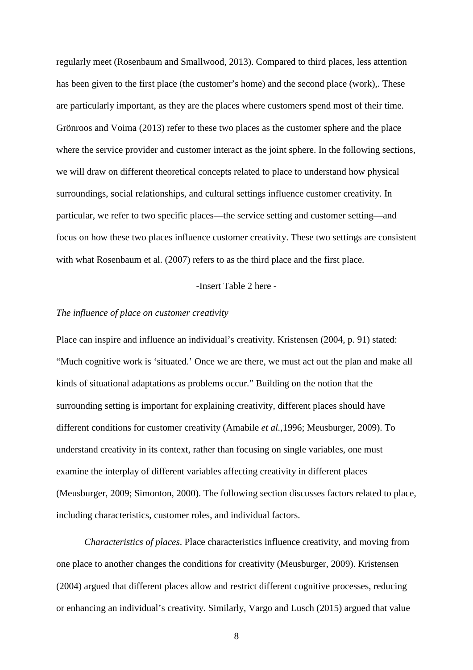regularly meet (Rosenbaum and Smallwood, 2013). Compared to third places, less attention has been given to the first place (the customer's home) and the second place (work),. These are particularly important, as they are the places where customers spend most of their time. Grönroos and Voima (2013) refer to these two places as the customer sphere and the place where the service provider and customer interact as the joint sphere. In the following sections, we will draw on different theoretical concepts related to place to understand how physical surroundings, social relationships, and cultural settings influence customer creativity. In particular, we refer to two specific places—the service setting and customer setting—and focus on how these two places influence customer creativity. These two settings are consistent with what Rosenbaum et al. (2007) refers to as the third place and the first place.

### -Insert Table 2 here -

### *The influence of place on customer creativity*

Place can inspire and influence an individual's creativity. Kristensen (2004, p. 91) stated: "Much cognitive work is 'situated.' Once we are there, we must act out the plan and make all kinds of situational adaptations as problems occur." Building on the notion that the surrounding setting is important for explaining creativity, different places should have different conditions for customer creativity (Amabile *et al.,*1996; Meusburger, 2009). To understand creativity in its context, rather than focusing on single variables, one must examine the interplay of different variables affecting creativity in different places (Meusburger, 2009; Simonton, 2000). The following section discusses factors related to place, including characteristics, customer roles, and individual factors.

*Characteristics of places*. Place characteristics influence creativity, and moving from one place to another changes the conditions for creativity (Meusburger, 2009). Kristensen (2004) argued that different places allow and restrict different cognitive processes, reducing or enhancing an individual's creativity. Similarly, Vargo and Lusch (2015) argued that value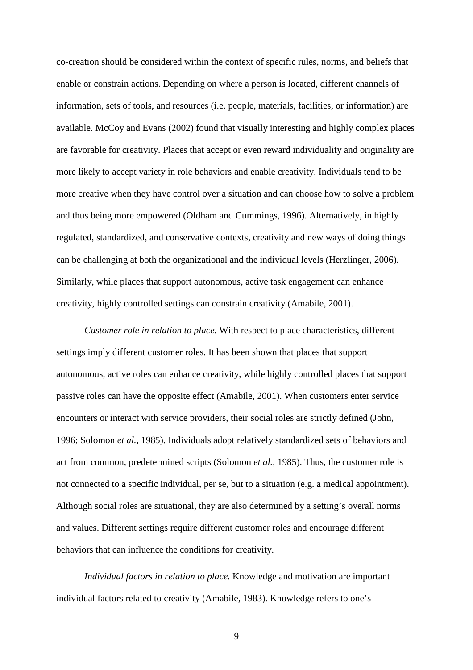co-creation should be considered within the context of specific rules, norms, and beliefs that enable or constrain actions. Depending on where a person is located, different channels of information, sets of tools, and resources (i.e. people, materials, facilities, or information) are available. McCoy and Evans (2002) found that visually interesting and highly complex places are favorable for creativity. Places that accept or even reward individuality and originality are more likely to accept variety in role behaviors and enable creativity. Individuals tend to be more creative when they have control over a situation and can choose how to solve a problem and thus being more empowered (Oldham and Cummings, 1996). Alternatively, in highly regulated, standardized, and conservative contexts, creativity and new ways of doing things can be challenging at both the organizational and the individual levels (Herzlinger, 2006). Similarly, while places that support autonomous, active task engagement can enhance creativity, highly controlled settings can constrain creativity (Amabile, 2001).

*Customer role in relation to place.* With respect to place characteristics, different settings imply different customer roles. It has been shown that places that support autonomous, active roles can enhance creativity, while highly controlled places that support passive roles can have the opposite effect (Amabile, 2001). When customers enter service encounters or interact with service providers, their social roles are strictly defined (John, 1996; Solomon *et al.,* 1985). Individuals adopt relatively standardized sets of behaviors and act from common, predetermined scripts (Solomon *et al.,* 1985). Thus, the customer role is not connected to a specific individual, per se, but to a situation (e.g. a medical appointment). Although social roles are situational, they are also determined by a setting's overall norms and values. Different settings require different customer roles and encourage different behaviors that can influence the conditions for creativity.

*Individual factors in relation to place.* Knowledge and motivation are important individual factors related to creativity (Amabile, 1983). Knowledge refers to one's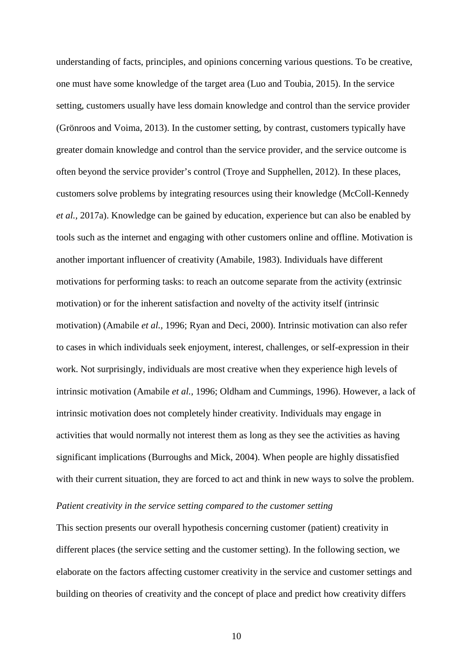understanding of facts, principles, and opinions concerning various questions. To be creative, one must have some knowledge of the target area (Luo and Toubia, 2015). In the service setting, customers usually have less domain knowledge and control than the service provider (Grönroos and Voima, 2013). In the customer setting, by contrast, customers typically have greater domain knowledge and control than the service provider, and the service outcome is often beyond the service provider's control (Troye and Supphellen, 2012). In these places, customers solve problems by integrating resources using their knowledge (McColl-Kennedy *et al.,* 2017a). Knowledge can be gained by education, experience but can also be enabled by tools such as the internet and engaging with other customers online and offline. Motivation is another important influencer of creativity (Amabile, 1983). Individuals have different motivations for performing tasks: to reach an outcome separate from the activity (extrinsic motivation) or for the inherent satisfaction and novelty of the activity itself (intrinsic motivation) (Amabile *et al.,* 1996; Ryan and Deci, 2000). Intrinsic motivation can also refer to cases in which individuals seek enjoyment, interest, challenges, or self-expression in their work. Not surprisingly, individuals are most creative when they experience high levels of intrinsic motivation (Amabile *et al.,* 1996; Oldham and Cummings, 1996). However, a lack of intrinsic motivation does not completely hinder creativity. Individuals may engage in activities that would normally not interest them as long as they see the activities as having significant implications (Burroughs and Mick, 2004). When people are highly dissatisfied with their current situation, they are forced to act and think in new ways to solve the problem.

## *Patient creativity in the service setting compared to the customer setting*

This section presents our overall hypothesis concerning customer (patient) creativity in different places (the service setting and the customer setting). In the following section, we elaborate on the factors affecting customer creativity in the service and customer settings and building on theories of creativity and the concept of place and predict how creativity differs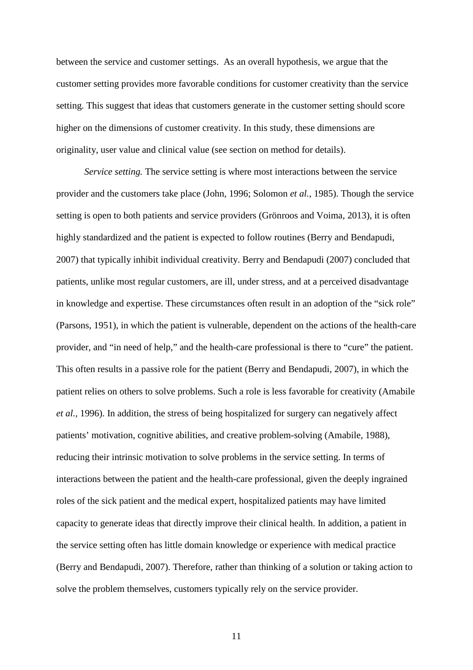between the service and customer settings. As an overall hypothesis, we argue that the customer setting provides more favorable conditions for customer creativity than the service setting. This suggest that ideas that customers generate in the customer setting should score higher on the dimensions of customer creativity. In this study, these dimensions are originality, user value and clinical value (see section on method for details).

*Service setting.* The service setting is where most interactions between the service provider and the customers take place (John, 1996; Solomon *et al.,* 1985). Though the service setting is open to both patients and service providers (Grönroos and Voima, 2013), it is often highly standardized and the patient is expected to follow routines (Berry and Bendapudi, 2007) that typically inhibit individual creativity. Berry and Bendapudi (2007) concluded that patients, unlike most regular customers, are ill, under stress, and at a perceived disadvantage in knowledge and expertise. These circumstances often result in an adoption of the "sick role" (Parsons, 1951), in which the patient is vulnerable, dependent on the actions of the health-care provider, and "in need of help," and the health-care professional is there to "cure" the patient. This often results in a passive role for the patient (Berry and Bendapudi, 2007), in which the patient relies on others to solve problems. Such a role is less favorable for creativity (Amabile *et al.,* 1996). In addition, the stress of being hospitalized for surgery can negatively affect patients' motivation, cognitive abilities, and creative problem-solving (Amabile, 1988), reducing their intrinsic motivation to solve problems in the service setting. In terms of interactions between the patient and the health-care professional, given the deeply ingrained roles of the sick patient and the medical expert, hospitalized patients may have limited capacity to generate ideas that directly improve their clinical health. In addition, a patient in the service setting often has little domain knowledge or experience with medical practice (Berry and Bendapudi, 2007). Therefore, rather than thinking of a solution or taking action to solve the problem themselves, customers typically rely on the service provider.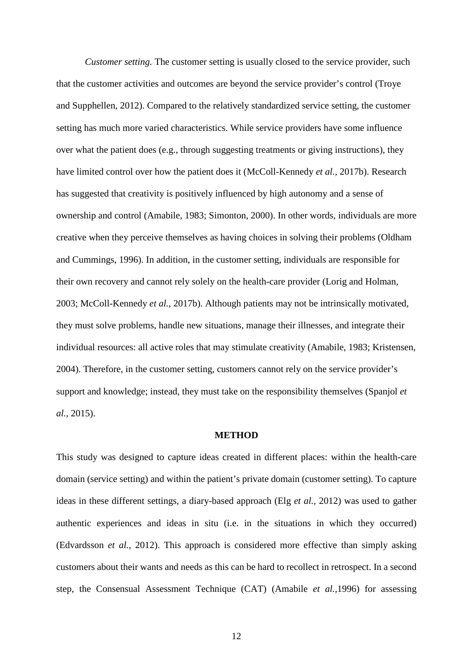*Customer setting.* The customer setting is usually closed to the service provider, such that the customer activities and outcomes are beyond the service provider's control (Troye and Supphellen, 2012). Compared to the relatively standardized service setting, the customer setting has much more varied characteristics. While service providers have some influence over what the patient does (e.g., through suggesting treatments or giving instructions), they have limited control over how the patient does it (McColl-Kennedy *et al.,* 2017b). Research has suggested that creativity is positively influenced by high autonomy and a sense of ownership and control (Amabile, 1983; Simonton, 2000). In other words, individuals are more creative when they perceive themselves as having choices in solving their problems (Oldham and Cummings, 1996). In addition, in the customer setting, individuals are responsible for their own recovery and cannot rely solely on the health-care provider (Lorig and Holman, 2003; McColl-Kennedy *et al.,* 2017b). Although patients may not be intrinsically motivated, they must solve problems, handle new situations, manage their illnesses, and integrate their individual resources: all active roles that may stimulate creativity (Amabile, 1983; Kristensen, 2004). Therefore, in the customer setting, customers cannot rely on the service provider's support and knowledge; instead, they must take on the responsibility themselves (Spanjol *et al.,* 2015).

### **METHOD**

This study was designed to capture ideas created in different places: within the health-care domain (service setting) and within the patient's private domain (customer setting). To capture ideas in these different settings, a diary-based approach (Elg *et al.,* 2012) was used to gather authentic experiences and ideas in situ (i.e. in the situations in which they occurred) (Edvardsson *et al.,* 2012). This approach is considered more effective than simply asking customers about their wants and needs as this can be hard to recollect in retrospect. In a second step, the Consensual Assessment Technique (CAT) (Amabile *et al.,*1996) for assessing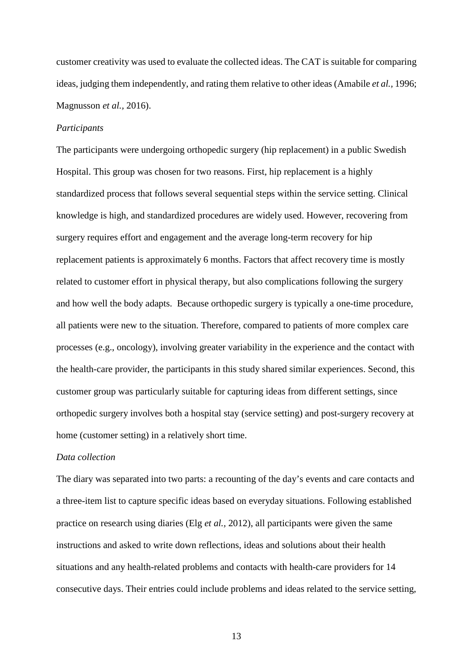customer creativity was used to evaluate the collected ideas. The CAT is suitable for comparing ideas, judging them independently, and rating them relative to other ideas (Amabile *et al.,* 1996; Magnusson *et al.,* 2016).

## *Participants*

The participants were undergoing orthopedic surgery (hip replacement) in a public Swedish Hospital. This group was chosen for two reasons. First, hip replacement is a highly standardized process that follows several sequential steps within the service setting. Clinical knowledge is high, and standardized procedures are widely used. However, recovering from surgery requires effort and engagement and the average long-term recovery for hip replacement patients is approximately 6 months. Factors that affect recovery time is mostly related to customer effort in physical therapy, but also complications following the surgery and how well the body adapts. Because orthopedic surgery is typically a one-time procedure, all patients were new to the situation. Therefore, compared to patients of more complex care processes (e.g., oncology), involving greater variability in the experience and the contact with the health-care provider, the participants in this study shared similar experiences. Second, this customer group was particularly suitable for capturing ideas from different settings, since orthopedic surgery involves both a hospital stay (service setting) and post-surgery recovery at home (customer setting) in a relatively short time.

### *Data collection*

The diary was separated into two parts: a recounting of the day's events and care contacts and a three-item list to capture specific ideas based on everyday situations. Following established practice on research using diaries (Elg *et al.,* 2012), all participants were given the same instructions and asked to write down reflections, ideas and solutions about their health situations and any health-related problems and contacts with health-care providers for 14 consecutive days. Their entries could include problems and ideas related to the service setting,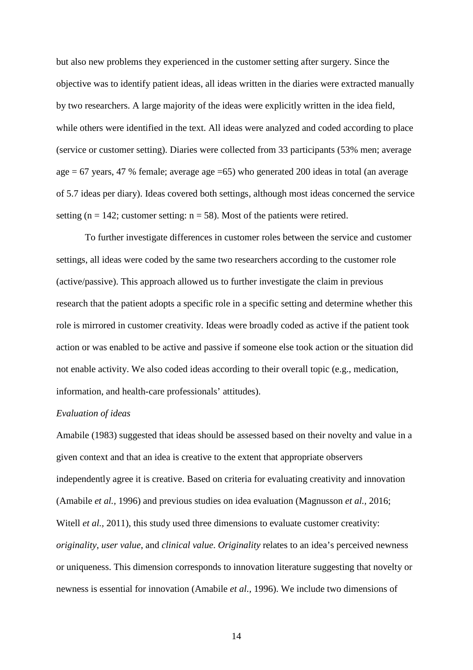but also new problems they experienced in the customer setting after surgery. Since the objective was to identify patient ideas, all ideas written in the diaries were extracted manually by two researchers. A large majority of the ideas were explicitly written in the idea field, while others were identified in the text. All ideas were analyzed and coded according to place (service or customer setting). Diaries were collected from 33 participants (53% men; average age = 67 years, 47 % female; average age =65) who generated 200 ideas in total (an average of 5.7 ideas per diary). Ideas covered both settings, although most ideas concerned the service setting ( $n = 142$ ; customer setting:  $n = 58$ ). Most of the patients were retired.

To further investigate differences in customer roles between the service and customer settings, all ideas were coded by the same two researchers according to the customer role (active/passive). This approach allowed us to further investigate the claim in previous research that the patient adopts a specific role in a specific setting and determine whether this role is mirrored in customer creativity. Ideas were broadly coded as active if the patient took action or was enabled to be active and passive if someone else took action or the situation did not enable activity. We also coded ideas according to their overall topic (e.g., medication, information, and health-care professionals' attitudes).

### *Evaluation of ideas*

Amabile (1983) suggested that ideas should be assessed based on their novelty and value in a given context and that an idea is creative to the extent that appropriate observers independently agree it is creative. Based on criteria for evaluating creativity and innovation (Amabile *et al.,* 1996) and previous studies on idea evaluation (Magnusson *et al.,* 2016; Witell *et al.*, 2011), this study used three dimensions to evaluate customer creativity: *originality*, *user value*, and *clinical value*. *Originality* relates to an idea's perceived newness or uniqueness. This dimension corresponds to innovation literature suggesting that novelty or newness is essential for innovation (Amabile *et al.,* 1996). We include two dimensions of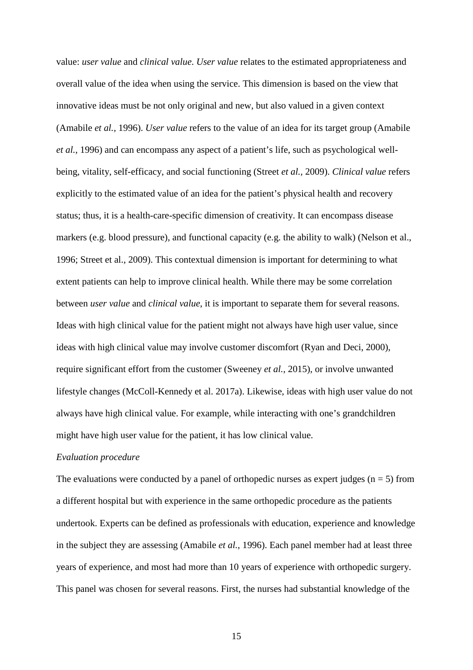value: *user value* and *clinical value*. *User value* relates to the estimated appropriateness and overall value of the idea when using the service. This dimension is based on the view that innovative ideas must be not only original and new, but also valued in a given context (Amabile *et al.,* 1996). *User value* refers to the value of an idea for its target group (Amabile *et al.,* 1996) and can encompass any aspect of a patient's life, such as psychological wellbeing, vitality, self-efficacy, and social functioning (Street *et al.,* 2009). *Clinical value* refers explicitly to the estimated value of an idea for the patient's physical health and recovery status; thus, it is a health-care-specific dimension of creativity. It can encompass disease markers (e.g. blood pressure), and functional capacity (e.g. the ability to walk) (Nelson et al., 1996; Street et al., 2009). This contextual dimension is important for determining to what extent patients can help to improve clinical health. While there may be some correlation between *user value* and *clinical value*, it is important to separate them for several reasons. Ideas with high clinical value for the patient might not always have high user value, since ideas with high clinical value may involve customer discomfort (Ryan and Deci, 2000), require significant effort from the customer (Sweeney *et al.,* 2015), or involve unwanted lifestyle changes (McColl-Kennedy et al. 2017a). Likewise, ideas with high user value do not always have high clinical value. For example, while interacting with one's grandchildren might have high user value for the patient, it has low clinical value.

#### *Evaluation procedure*

The evaluations were conducted by a panel of orthopedic nurses as expert judges ( $n = 5$ ) from a different hospital but with experience in the same orthopedic procedure as the patients undertook. Experts can be defined as professionals with education, experience and knowledge in the subject they are assessing (Amabile *et al.,* 1996). Each panel member had at least three years of experience, and most had more than 10 years of experience with orthopedic surgery. This panel was chosen for several reasons. First, the nurses had substantial knowledge of the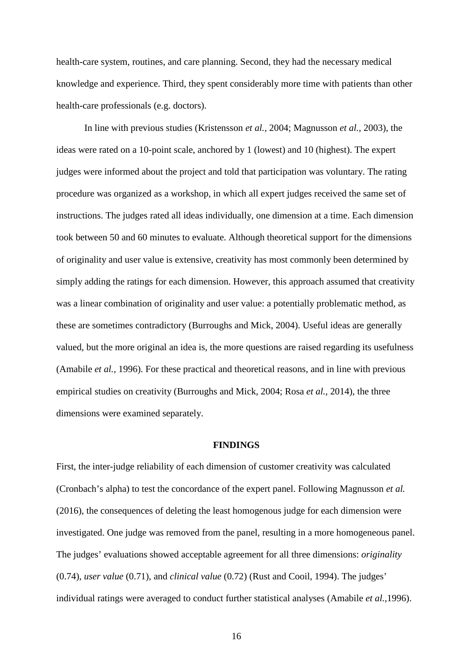health-care system, routines, and care planning. Second, they had the necessary medical knowledge and experience. Third, they spent considerably more time with patients than other health-care professionals (e.g. doctors).

In line with previous studies (Kristensson *et al.,* 2004; Magnusson *et al.,* 2003), the ideas were rated on a 10-point scale, anchored by 1 (lowest) and 10 (highest). The expert judges were informed about the project and told that participation was voluntary. The rating procedure was organized as a workshop, in which all expert judges received the same set of instructions. The judges rated all ideas individually, one dimension at a time. Each dimension took between 50 and 60 minutes to evaluate. Although theoretical support for the dimensions of originality and user value is extensive, creativity has most commonly been determined by simply adding the ratings for each dimension. However, this approach assumed that creativity was a linear combination of originality and user value: a potentially problematic method, as these are sometimes contradictory (Burroughs and Mick, 2004). Useful ideas are generally valued, but the more original an idea is, the more questions are raised regarding its usefulness (Amabile *et al.,* 1996). For these practical and theoretical reasons, and in line with previous empirical studies on creativity (Burroughs and Mick, 2004; Rosa *et al.,* 2014), the three dimensions were examined separately.

#### **FINDINGS**

First, the inter-judge reliability of each dimension of customer creativity was calculated (Cronbach's alpha) to test the concordance of the expert panel. Following Magnusson *et al.* (2016), the consequences of deleting the least homogenous judge for each dimension were investigated. One judge was removed from the panel, resulting in a more homogeneous panel. The judges' evaluations showed acceptable agreement for all three dimensions: *originality* (0.74), *user value* (0.71), and *clinical value* (0.72) (Rust and Cooil, 1994). The judges' individual ratings were averaged to conduct further statistical analyses (Amabile *et al.,*1996).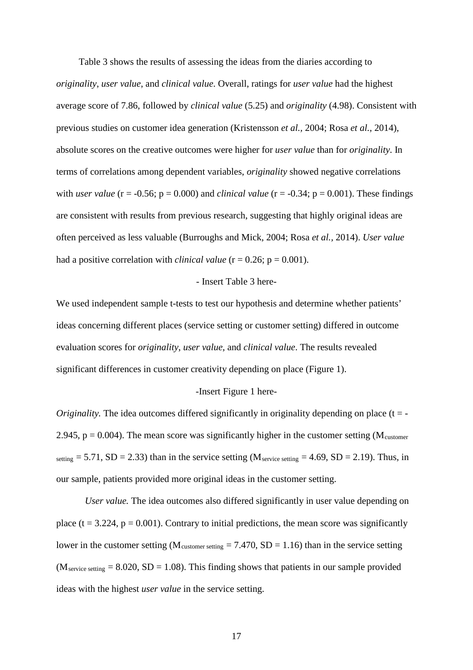Table 3 shows the results of assessing the ideas from the diaries according to *originality*, *user value*, and *clinical value*. Overall, ratings for *user value* had the highest average score of 7.86, followed by *clinical value* (5.25) and *originality* (4.98). Consistent with previous studies on customer idea generation (Kristensson *et al.,* 2004; Rosa *et al.,* 2014), absolute scores on the creative outcomes were higher for *user value* than for *originality*. In terms of correlations among dependent variables, *originality* showed negative correlations with *user value* ( $r = -0.56$ ;  $p = 0.000$ ) and *clinical value* ( $r = -0.34$ ;  $p = 0.001$ ). These findings are consistent with results from previous research, suggesting that highly original ideas are often perceived as less valuable (Burroughs and Mick, 2004; Rosa *et al.,* 2014). *User value* had a positive correlation with *clinical value* ( $r = 0.26$ ;  $p = 0.001$ ).

#### *-* Insert Table 3 here*-*

We used independent sample t-tests to test our hypothesis and determine whether patients' ideas concerning different places (service setting or customer setting) differed in outcome evaluation scores for *originality*, *user value*, and *clinical value*. The results revealed significant differences in customer creativity depending on place (Figure 1).

#### -Insert Figure 1 here-

*Originality.* The idea outcomes differed significantly in originality depending on place  $(t = -1)$ 2.945,  $p = 0.004$ ). The mean score was significantly higher in the customer setting (M<sub>customer</sub>) setting  $= 5.71$ , SD  $= 2.33$ ) than in the service setting (M<sub>service setting</sub>  $= 4.69$ , SD  $= 2.19$ ). Thus, in our sample, patients provided more original ideas in the customer setting.

*User value.* The idea outcomes also differed significantly in user value depending on place ( $t = 3.224$ ,  $p = 0.001$ ). Contrary to initial predictions, the mean score was significantly lower in the customer setting ( $M_{\text{customer setting}} = 7.470$ ,  $SD = 1.16$ ) than in the service setting  $(M<sub>service setting</sub> = 8.020, SD = 1.08)$ . This finding shows that patients in our sample provided ideas with the highest *user value* in the service setting.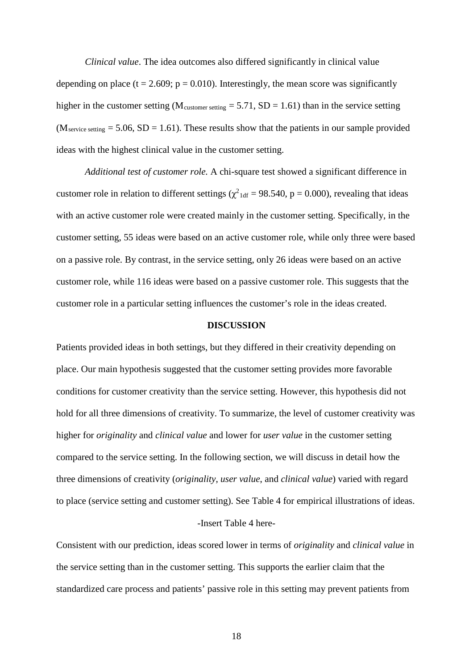*Clinical value*. The idea outcomes also differed significantly in clinical value depending on place ( $t = 2.609$ ;  $p = 0.010$ ). Interestingly, the mean score was significantly higher in the customer setting ( $M_{\text{customer setting}} = 5.71$ ,  $SD = 1.61$ ) than in the service setting  $(M<sub>service setting</sub> = 5.06, SD = 1.61)$ . These results show that the patients in our sample provided ideas with the highest clinical value in the customer setting.

*Additional test of customer role.* A chi-square test showed a significant difference in customer role in relation to different settings ( $\chi^2$ <sub>1df</sub> = 98.540, p = 0.000), revealing that ideas with an active customer role were created mainly in the customer setting. Specifically, in the customer setting, 55 ideas were based on an active customer role, while only three were based on a passive role. By contrast, in the service setting, only 26 ideas were based on an active customer role, while 116 ideas were based on a passive customer role. This suggests that the customer role in a particular setting influences the customer's role in the ideas created.

### **DISCUSSION**

Patients provided ideas in both settings, but they differed in their creativity depending on place. Our main hypothesis suggested that the customer setting provides more favorable conditions for customer creativity than the service setting. However, this hypothesis did not hold for all three dimensions of creativity. To summarize, the level of customer creativity was higher for *originality* and *clinical value* and lower for *user value* in the customer setting compared to the service setting. In the following section, we will discuss in detail how the three dimensions of creativity (*originality*, *user value*, and *clinical value*) varied with regard to place (service setting and customer setting). See Table 4 for empirical illustrations of ideas.

### *-*Insert Table 4 here-

Consistent with our prediction, ideas scored lower in terms of *originality* and *clinical value* in the service setting than in the customer setting. This supports the earlier claim that the standardized care process and patients' passive role in this setting may prevent patients from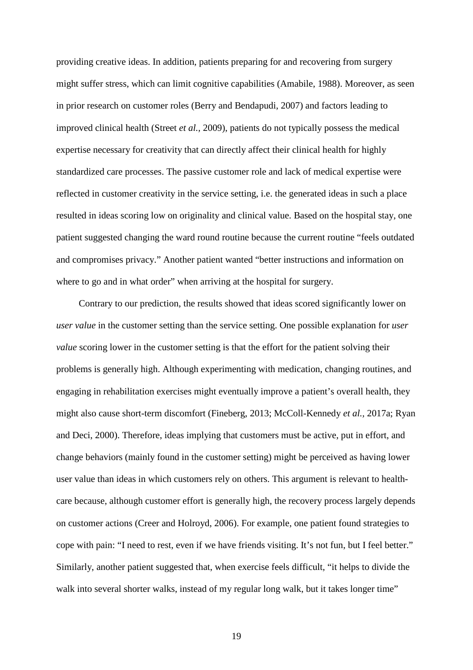providing creative ideas. In addition, patients preparing for and recovering from surgery might suffer stress, which can limit cognitive capabilities (Amabile, 1988). Moreover, as seen in prior research on customer roles (Berry and Bendapudi, 2007) and factors leading to improved clinical health (Street *et al.,* 2009), patients do not typically possess the medical expertise necessary for creativity that can directly affect their clinical health for highly standardized care processes. The passive customer role and lack of medical expertise were reflected in customer creativity in the service setting, i.e. the generated ideas in such a place resulted in ideas scoring low on originality and clinical value. Based on the hospital stay, one patient suggested changing the ward round routine because the current routine "feels outdated and compromises privacy." Another patient wanted "better instructions and information on where to go and in what order" when arriving at the hospital for surgery.

Contrary to our prediction, the results showed that ideas scored significantly lower on *user value* in the customer setting than the service setting. One possible explanation for *user value* scoring lower in the customer setting is that the effort for the patient solving their problems is generally high. Although experimenting with medication, changing routines, and engaging in rehabilitation exercises might eventually improve a patient's overall health, they might also cause short-term discomfort (Fineberg, 2013; McColl-Kennedy *et al.,* 2017a; Ryan and Deci, 2000). Therefore, ideas implying that customers must be active, put in effort, and change behaviors (mainly found in the customer setting) might be perceived as having lower user value than ideas in which customers rely on others. This argument is relevant to healthcare because, although customer effort is generally high, the recovery process largely depends on customer actions (Creer and Holroyd, 2006). For example, one patient found strategies to cope with pain: "I need to rest, even if we have friends visiting. It's not fun, but I feel better." Similarly, another patient suggested that, when exercise feels difficult, "it helps to divide the walk into several shorter walks, instead of my regular long walk, but it takes longer time"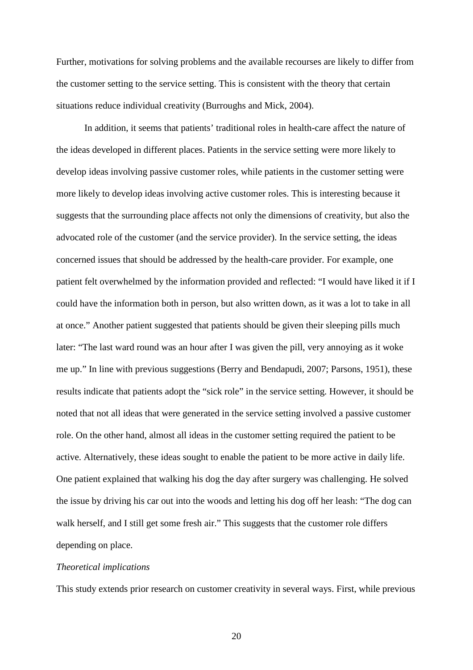Further, motivations for solving problems and the available recourses are likely to differ from the customer setting to the service setting. This is consistent with the theory that certain situations reduce individual creativity (Burroughs and Mick, 2004).

In addition, it seems that patients' traditional roles in health-care affect the nature of the ideas developed in different places. Patients in the service setting were more likely to develop ideas involving passive customer roles, while patients in the customer setting were more likely to develop ideas involving active customer roles. This is interesting because it suggests that the surrounding place affects not only the dimensions of creativity, but also the advocated role of the customer (and the service provider). In the service setting, the ideas concerned issues that should be addressed by the health-care provider. For example, one patient felt overwhelmed by the information provided and reflected: "I would have liked it if I could have the information both in person, but also written down, as it was a lot to take in all at once." Another patient suggested that patients should be given their sleeping pills much later: "The last ward round was an hour after I was given the pill, very annoying as it woke me up." In line with previous suggestions (Berry and Bendapudi, 2007; Parsons, 1951), these results indicate that patients adopt the "sick role" in the service setting. However, it should be noted that not all ideas that were generated in the service setting involved a passive customer role. On the other hand, almost all ideas in the customer setting required the patient to be active. Alternatively, these ideas sought to enable the patient to be more active in daily life. One patient explained that walking his dog the day after surgery was challenging. He solved the issue by driving his car out into the woods and letting his dog off her leash: "The dog can walk herself, and I still get some fresh air." This suggests that the customer role differs depending on place.

## *Theoretical implications*

This study extends prior research on customer creativity in several ways. First, while previous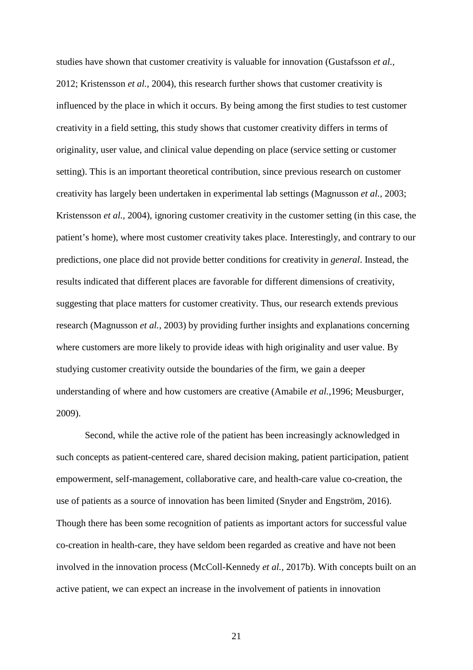studies have shown that customer creativity is valuable for innovation (Gustafsson *et al.,* 2012; Kristensson *et al.,* 2004), this research further shows that customer creativity is influenced by the place in which it occurs. By being among the first studies to test customer creativity in a field setting, this study shows that customer creativity differs in terms of originality, user value, and clinical value depending on place (service setting or customer setting). This is an important theoretical contribution, since previous research on customer creativity has largely been undertaken in experimental lab settings (Magnusson *et al.,* 2003; Kristensson *et al.,* 2004), ignoring customer creativity in the customer setting (in this case, the patient's home), where most customer creativity takes place. Interestingly, and contrary to our predictions, one place did not provide better conditions for creativity in *general*. Instead, the results indicated that different places are favorable for different dimensions of creativity, suggesting that place matters for customer creativity. Thus, our research extends previous research (Magnusson *et al.,* 2003) by providing further insights and explanations concerning where customers are more likely to provide ideas with high originality and user value. By studying customer creativity outside the boundaries of the firm, we gain a deeper understanding of where and how customers are creative (Amabile *et al.,*1996; Meusburger, 2009).

Second, while the active role of the patient has been increasingly acknowledged in such concepts as patient-centered care, shared decision making, patient participation, patient empowerment, self-management, collaborative care, and health-care value co-creation, the use of patients as a source of innovation has been limited (Snyder and Engström, 2016). Though there has been some recognition of patients as important actors for successful value co-creation in health-care, they have seldom been regarded as creative and have not been involved in the innovation process (McColl-Kennedy *et al.,* 2017b). With concepts built on an active patient, we can expect an increase in the involvement of patients in innovation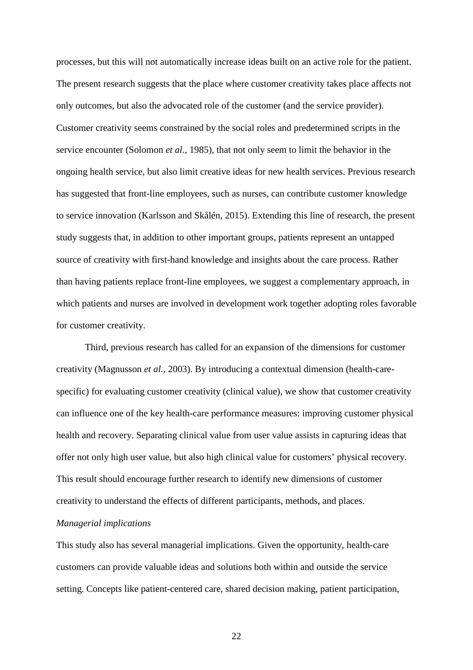processes, but this will not automatically increase ideas built on an active role for the patient. The present research suggests that the place where customer creativity takes place affects not only outcomes, but also the advocated role of the customer (and the service provider). Customer creativity seems constrained by the social roles and predetermined scripts in the service encounter (Solomon *et al.,* 1985), that not only seem to limit the behavior in the ongoing health service, but also limit creative ideas for new health services. Previous research has suggested that front-line employees, such as nurses, can contribute customer knowledge to service innovation (Karlsson and Skålén, 2015). Extending this line of research, the present study suggests that, in addition to other important groups, patients represent an untapped source of creativity with first-hand knowledge and insights about the care process. Rather than having patients replace front-line employees, we suggest a complementary approach, in which patients and nurses are involved in development work together adopting roles favorable for customer creativity.

Third, previous research has called for an expansion of the dimensions for customer creativity (Magnusson *et al.,* 2003). By introducing a contextual dimension (health-carespecific) for evaluating customer creativity (clinical value), we show that customer creativity can influence one of the key health-care performance measures: improving customer physical health and recovery. Separating clinical value from user value assists in capturing ideas that offer not only high user value, but also high clinical value for customers' physical recovery. This result should encourage further research to identify new dimensions of customer creativity to understand the effects of different participants, methods, and places.

## *Managerial implications*

This study also has several managerial implications. Given the opportunity, health-care customers can provide valuable ideas and solutions both within and outside the service setting. Concepts like patient-centered care, shared decision making, patient participation,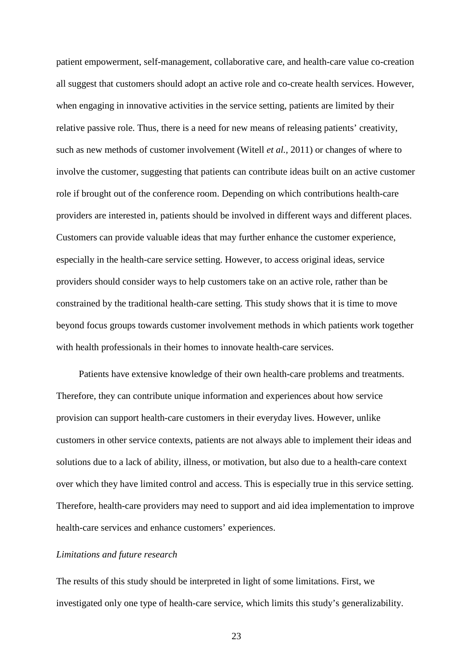patient empowerment, self-management, collaborative care, and health-care value co-creation all suggest that customers should adopt an active role and co-create health services. However, when engaging in innovative activities in the service setting, patients are limited by their relative passive role. Thus, there is a need for new means of releasing patients' creativity, such as new methods of customer involvement (Witell *et al.,* 2011) or changes of where to involve the customer, suggesting that patients can contribute ideas built on an active customer role if brought out of the conference room. Depending on which contributions health-care providers are interested in, patients should be involved in different ways and different places. Customers can provide valuable ideas that may further enhance the customer experience, especially in the health-care service setting. However, to access original ideas, service providers should consider ways to help customers take on an active role, rather than be constrained by the traditional health-care setting. This study shows that it is time to move beyond focus groups towards customer involvement methods in which patients work together with health professionals in their homes to innovate health-care services.

Patients have extensive knowledge of their own health-care problems and treatments. Therefore, they can contribute unique information and experiences about how service provision can support health-care customers in their everyday lives. However, unlike customers in other service contexts, patients are not always able to implement their ideas and solutions due to a lack of ability, illness, or motivation, but also due to a health-care context over which they have limited control and access. This is especially true in this service setting. Therefore, health-care providers may need to support and aid idea implementation to improve health-care services and enhance customers' experiences.

## *Limitations and future research*

The results of this study should be interpreted in light of some limitations. First, we investigated only one type of health-care service, which limits this study's generalizability.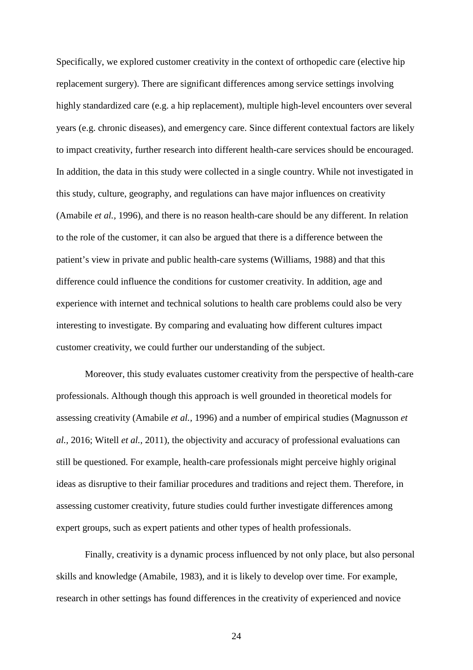Specifically, we explored customer creativity in the context of orthopedic care (elective hip replacement surgery). There are significant differences among service settings involving highly standardized care (e.g. a hip replacement), multiple high-level encounters over several years (e.g. chronic diseases), and emergency care. Since different contextual factors are likely to impact creativity, further research into different health-care services should be encouraged. In addition, the data in this study were collected in a single country. While not investigated in this study, culture, geography, and regulations can have major influences on creativity (Amabile *et al.,* 1996), and there is no reason health-care should be any different. In relation to the role of the customer, it can also be argued that there is a difference between the patient's view in private and public health-care systems (Williams, 1988) and that this difference could influence the conditions for customer creativity. In addition, age and experience with internet and technical solutions to health care problems could also be very interesting to investigate. By comparing and evaluating how different cultures impact customer creativity, we could further our understanding of the subject.

Moreover, this study evaluates customer creativity from the perspective of health-care professionals. Although though this approach is well grounded in theoretical models for assessing creativity (Amabile *et al.,* 1996) and a number of empirical studies (Magnusson *et al.,* 2016; Witell *et al.,* 2011), the objectivity and accuracy of professional evaluations can still be questioned. For example, health-care professionals might perceive highly original ideas as disruptive to their familiar procedures and traditions and reject them. Therefore, in assessing customer creativity, future studies could further investigate differences among expert groups, such as expert patients and other types of health professionals.

Finally, creativity is a dynamic process influenced by not only place, but also personal skills and knowledge (Amabile, 1983), and it is likely to develop over time. For example, research in other settings has found differences in the creativity of experienced and novice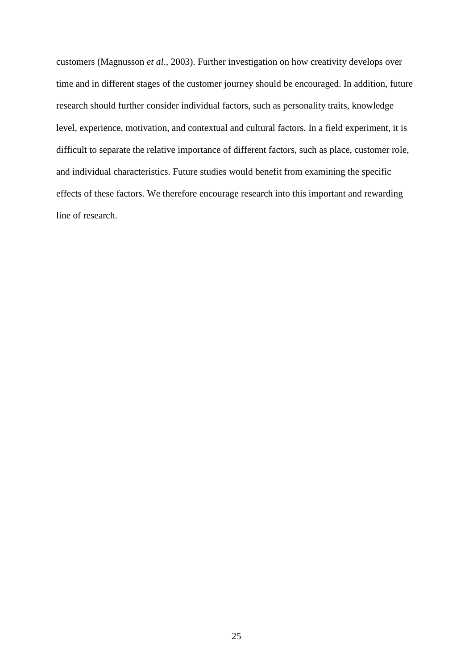customers (Magnusson *et al.,* 2003). Further investigation on how creativity develops over time and in different stages of the customer journey should be encouraged. In addition, future research should further consider individual factors, such as personality traits, knowledge level, experience, motivation, and contextual and cultural factors. In a field experiment, it is difficult to separate the relative importance of different factors, such as place, customer role, and individual characteristics. Future studies would benefit from examining the specific effects of these factors. We therefore encourage research into this important and rewarding line of research.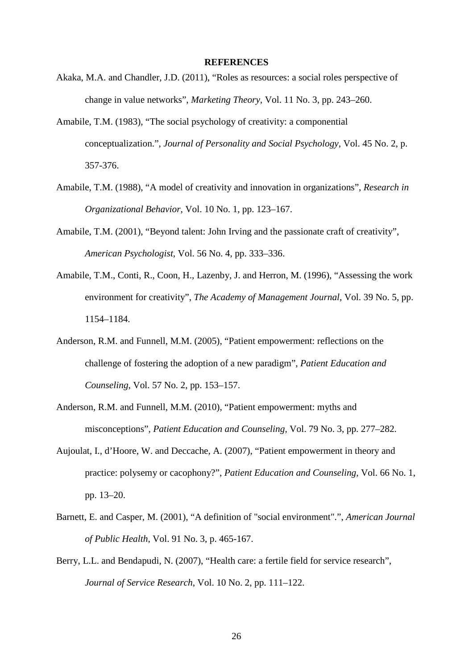### **REFERENCES**

- Akaka, M.A. and Chandler, J.D. (2011), "Roles as resources: a social roles perspective of change in value networks", *Marketing Theory*, Vol. 11 No. 3, pp. 243–260.
- Amabile, T.M. (1983), "The social psychology of creativity: a componential conceptualization.", *Journal of Personality and Social Psychology*, Vol. 45 No. 2, p. 357-376.
- Amabile, T.M. (1988), "A model of creativity and innovation in organizations", *Research in Organizational Behavior*, Vol. 10 No. 1, pp. 123–167.
- Amabile, T.M. (2001), "Beyond talent: John Irving and the passionate craft of creativity", *American Psychologist*, Vol. 56 No. 4, pp. 333–336.
- Amabile, T.M., Conti, R., Coon, H., Lazenby, J. and Herron, M. (1996), "Assessing the work environment for creativity", *The Academy of Management Journal*, Vol. 39 No. 5, pp. 1154–1184.
- Anderson, R.M. and Funnell, M.M. (2005), "Patient empowerment: reflections on the challenge of fostering the adoption of a new paradigm", *Patient Education and Counseling*, Vol. 57 No. 2, pp. 153–157.
- Anderson, R.M. and Funnell, M.M. (2010), "Patient empowerment: myths and misconceptions", *Patient Education and Counseling*, Vol. 79 No. 3, pp. 277–282.
- Aujoulat, I., d'Hoore, W. and Deccache, A. (2007), "Patient empowerment in theory and practice: polysemy or cacophony?", *Patient Education and Counseling*, Vol. 66 No. 1, pp. 13–20.
- Barnett, E. and Casper, M. (2001), "A definition of "social environment".", *American Journal of Public Health*, Vol. 91 No. 3, p. 465-167.
- Berry, L.L. and Bendapudi, N. (2007), "Health care: a fertile field for service research", *Journal of Service Research*, Vol. 10 No. 2, pp. 111–122.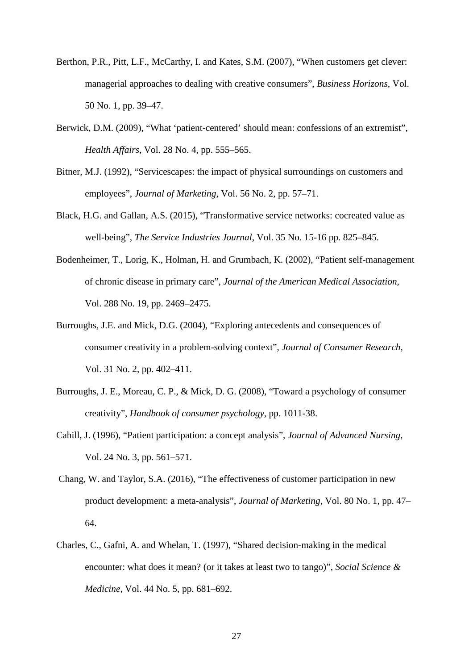- Berthon, P.R., Pitt, L.F., McCarthy, I. and Kates, S.M. (2007), "When customers get clever: managerial approaches to dealing with creative consumers", *Business Horizons*, Vol. 50 No. 1, pp. 39–47.
- Berwick, D.M. (2009), "What 'patient-centered' should mean: confessions of an extremist", *Health Affairs*, Vol. 28 No. 4, pp. 555–565.
- Bitner, M.J. (1992), "Servicescapes: the impact of physical surroundings on customers and employees", *Journal of Marketing*, Vol. 56 No. 2, pp. 57–71.
- Black, H.G. and Gallan, A.S. (2015), "Transformative service networks: cocreated value as well-being", *The Service Industries Journal*, Vol. 35 No. 15-16 pp. 825–845.
- Bodenheimer, T., Lorig, K., Holman, H. and Grumbach, K. (2002), "Patient self-management of chronic disease in primary care", *Journal of the American Medical Association*, Vol. 288 No. 19, pp. 2469–2475.
- Burroughs, J.E. and Mick, D.G. (2004), "Exploring antecedents and consequences of consumer creativity in a problem-solving context", *Journal of Consumer Research*, Vol. 31 No. 2, pp. 402–411.
- Burroughs, J. E., Moreau, C. P., & Mick, D. G. (2008), "Toward a psychology of consumer creativity", *Handbook of consumer psychology*, pp. 1011-38.
- Cahill, J. (1996), "Patient participation: a concept analysis", *Journal of Advanced Nursing*, Vol. 24 No. 3, pp. 561–571.
- Chang, W. and Taylor, S.A. (2016), "The effectiveness of customer participation in new product development: a meta-analysis", *Journal of Marketing*, Vol. 80 No. 1, pp. 47– 64.
- Charles, C., Gafni, A. and Whelan, T. (1997), "Shared decision-making in the medical encounter: what does it mean? (or it takes at least two to tango)", *Social Science & Medicine*, Vol. 44 No. 5, pp. 681–692.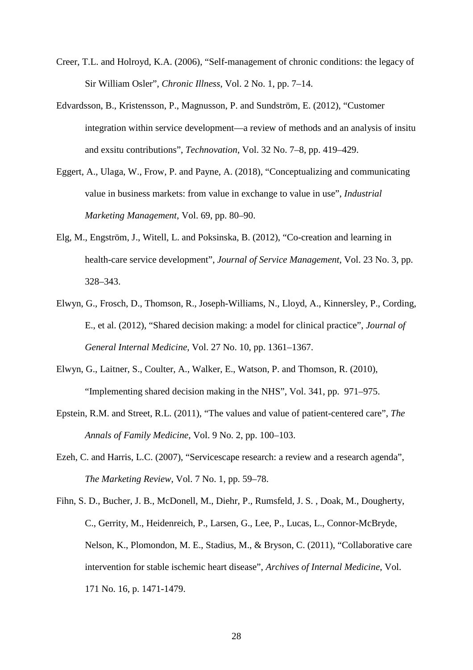- Creer, T.L. and Holroyd, K.A. (2006), "Self-management of chronic conditions: the legacy of Sir William Osler", *Chronic Illness*, Vol. 2 No. 1, pp. 7–14.
- Edvardsson, B., Kristensson, P., Magnusson, P. and Sundström, E. (2012), "Customer integration within service development—a review of methods and an analysis of insitu and exsitu contributions", *Technovation*, Vol. 32 No. 7–8, pp. 419–429.
- Eggert, A., Ulaga, W., Frow, P. and Payne, A. (2018), "Conceptualizing and communicating value in business markets: from value in exchange to value in use", *Industrial Marketing Management*, Vol. 69, pp. 80–90.
- Elg, M., Engström, J., Witell, L. and Poksinska, B. (2012), "Co-creation and learning in health-care service development", *Journal of Service Management*, Vol. 23 No. 3, pp. 328–343.
- Elwyn, G., Frosch, D., Thomson, R., Joseph-Williams, N., Lloyd, A., Kinnersley, P., Cording, E., et al. (2012), "Shared decision making: a model for clinical practice", *Journal of General Internal Medicine*, Vol. 27 No. 10, pp. 1361–1367.
- Elwyn, G., Laitner, S., Coulter, A., Walker, E., Watson, P. and Thomson, R. (2010), "Implementing shared decision making in the NHS", Vol. 341, pp. 971–975.
- Epstein, R.M. and Street, R.L. (2011), "The values and value of patient-centered care", *The Annals of Family Medicine*, Vol. 9 No. 2, pp. 100–103.
- Ezeh, C. and Harris, L.C. (2007), "Servicescape research: a review and a research agenda", *The Marketing Review*, Vol. 7 No. 1, pp. 59–78.
- Fihn, S. D., Bucher, J. B., McDonell, M., Diehr, P., Rumsfeld, J. S. , Doak, M., Dougherty, C., Gerrity, M., Heidenreich, P., Larsen, G., Lee, P., Lucas, L., Connor-McBryde, Nelson, K., Plomondon, M. E., Stadius, M., & Bryson, C. (2011), "Collaborative care intervention for stable ischemic heart disease", *Archives of Internal Medicine*, Vol. 171 No. 16, p. 1471-1479.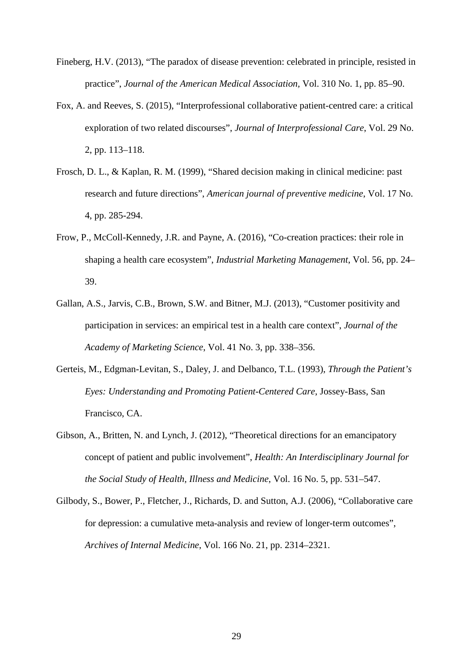- Fineberg, H.V. (2013), "The paradox of disease prevention: celebrated in principle, resisted in practice", *Journal of the American Medical Association,* Vol. 310 No. 1, pp. 85–90.
- Fox, A. and Reeves, S. (2015), "Interprofessional collaborative patient-centred care: a critical exploration of two related discourses", *Journal of Interprofessional Care*, Vol. 29 No. 2, pp. 113–118.
- Frosch, D. L., & Kaplan, R. M. (1999), "Shared decision making in clinical medicine: past research and future directions", *American journal of preventive medicine*, Vol. 17 No. 4, pp. 285-294.
- Frow, P., McColl-Kennedy, J.R. and Payne, A. (2016), "Co-creation practices: their role in shaping a health care ecosystem", *Industrial Marketing Management*, Vol. 56, pp. 24– 39.
- Gallan, A.S., Jarvis, C.B., Brown, S.W. and Bitner, M.J. (2013), "Customer positivity and participation in services: an empirical test in a health care context", *Journal of the Academy of Marketing Science*, Vol. 41 No. 3, pp. 338–356.
- Gerteis, M., Edgman-Levitan, S., Daley, J. and Delbanco, T.L. (1993), *Through the Patient's Eyes: Understanding and Promoting Patient-Centered Care*, Jossey-Bass, San Francisco, CA.
- Gibson, A., Britten, N. and Lynch, J. (2012), "Theoretical directions for an emancipatory concept of patient and public involvement", *Health: An Interdisciplinary Journal for the Social Study of Health, Illness and Medicine*, Vol. 16 No. 5, pp. 531–547.
- Gilbody, S., Bower, P., Fletcher, J., Richards, D. and Sutton, A.J. (2006), "Collaborative care for depression: a cumulative meta-analysis and review of longer-term outcomes", *Archives of Internal Medicine*, Vol. 166 No. 21, pp. 2314–2321.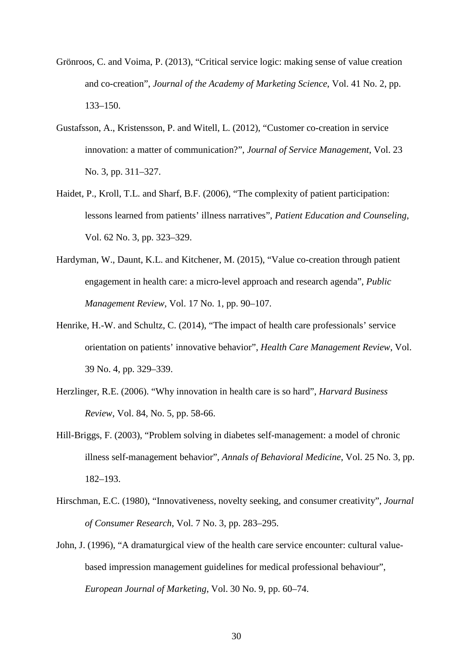- Grönroos, C. and Voima, P. (2013), "Critical service logic: making sense of value creation and co-creation", *Journal of the Academy of Marketing Science*, Vol. 41 No. 2, pp. 133–150.
- Gustafsson, A., Kristensson, P. and Witell, L. (2012), "Customer co-creation in service innovation: a matter of communication?", *Journal of Service Management*, Vol. 23 No. 3, pp. 311–327.
- Haidet, P., Kroll, T.L. and Sharf, B.F. (2006), "The complexity of patient participation: lessons learned from patients' illness narratives", *Patient Education and Counseling*, Vol. 62 No. 3, pp. 323–329.
- Hardyman, W., Daunt, K.L. and Kitchener, M. (2015), "Value co-creation through patient engagement in health care: a micro-level approach and research agenda", *Public Management Review*, Vol. 17 No. 1, pp. 90–107.
- Henrike, H.-W. and Schultz, C. (2014), "The impact of health care professionals' service orientation on patients' innovative behavior", *Health Care Management Review*, Vol. 39 No. 4, pp. 329–339.
- Herzlinger, R.E. (2006). "Why innovation in health care is so hard", *Harvard Business Review*, Vol. 84, No. 5, pp. 58-66.
- Hill-Briggs, F. (2003), "Problem solving in diabetes self-management: a model of chronic illness self-management behavior", *Annals of Behavioral Medicine*, Vol. 25 No. 3, pp. 182–193.
- Hirschman, E.C. (1980), "Innovativeness, novelty seeking, and consumer creativity", *Journal of Consumer Research*, Vol. 7 No. 3, pp. 283–295.
- John, J. (1996), "A dramaturgical view of the health care service encounter: cultural value‐ based impression management guidelines for medical professional behaviour", *European Journal of Marketing*, Vol. 30 No. 9, pp. 60–74.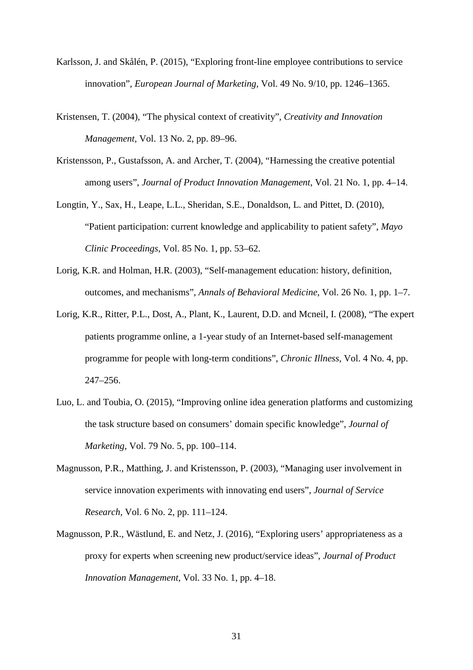- Karlsson, J. and Skålén, P. (2015), "Exploring front-line employee contributions to service innovation", *European Journal of Marketing*, Vol. 49 No. 9/10, pp. 1246–1365.
- Kristensen, T. (2004), "The physical context of creativity", *Creativity and Innovation Management*, Vol. 13 No. 2, pp. 89–96.
- Kristensson, P., Gustafsson, A. and Archer, T. (2004), "Harnessing the creative potential among users", *Journal of Product Innovation Management*, Vol. 21 No. 1, pp. 4–14.
- Longtin, Y., Sax, H., Leape, L.L., Sheridan, S.E., Donaldson, L. and Pittet, D. (2010), "Patient participation: current knowledge and applicability to patient safety", *Mayo Clinic Proceedings*, Vol. 85 No. 1, pp. 53–62.
- Lorig, K.R. and Holman, H.R. (2003), "Self-management education: history, definition, outcomes, and mechanisms", *Annals of Behavioral Medicine*, Vol. 26 No. 1, pp. 1–7.
- Lorig, K.R., Ritter, P.L., Dost, A., Plant, K., Laurent, D.D. and Mcneil, I. (2008), "The expert patients programme online, a 1-year study of an Internet-based self-management programme for people with long-term conditions", *Chronic Illness*, Vol. 4 No. 4, pp. 247–256.
- Luo, L. and Toubia, O. (2015), "Improving online idea generation platforms and customizing the task structure based on consumers' domain specific knowledge", *Journal of Marketing*, Vol. 79 No. 5, pp. 100–114.
- Magnusson, P.R., Matthing, J. and Kristensson, P. (2003), "Managing user involvement in service innovation experiments with innovating end users", *Journal of Service Research*, Vol. 6 No. 2, pp. 111–124.
- Magnusson, P.R., Wästlund, E. and Netz, J. (2016), "Exploring users' appropriateness as a proxy for experts when screening new product/service ideas", *Journal of Product Innovation Management*, Vol. 33 No. 1, pp. 4–18.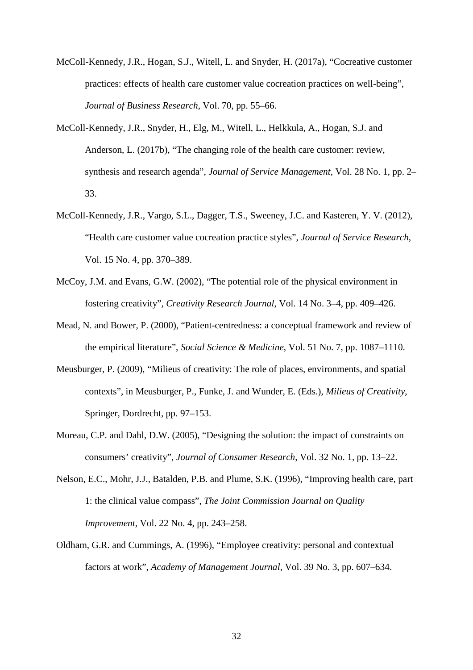- McColl-Kennedy, J.R., Hogan, S.J., Witell, L. and Snyder, H. (2017a), "Cocreative customer practices: effects of health care customer value cocreation practices on well-being", *Journal of Business Research*, Vol. 70, pp. 55–66.
- McColl-Kennedy, J.R., Snyder, H., Elg, M., Witell, L., Helkkula, A., Hogan, S.J. and Anderson, L. (2017b), "The changing role of the health care customer: review, synthesis and research agenda", *Journal of Service Management*, Vol. 28 No. 1, pp. 2– 33.
- McColl-Kennedy, J.R., Vargo, S.L., Dagger, T.S., Sweeney, J.C. and Kasteren, Y. V. (2012), "Health care customer value cocreation practice styles", *Journal of Service Research*, Vol. 15 No. 4, pp. 370–389.
- McCoy, J.M. and Evans, G.W. (2002), "The potential role of the physical environment in fostering creativity", *Creativity Research Journal*, Vol. 14 No. 3–4, pp. 409–426.
- Mead, N. and Bower, P. (2000), "Patient-centredness: a conceptual framework and review of the empirical literature", *Social Science & Medicine*, Vol. 51 No. 7, pp. 1087–1110.
- Meusburger, P. (2009), "Milieus of creativity: The role of places, environments, and spatial contexts", in Meusburger, P., Funke, J. and Wunder, E. (Eds.), *Milieus of Creativity*, Springer, Dordrecht, pp. 97–153.
- Moreau, C.P. and Dahl, D.W. (2005), "Designing the solution: the impact of constraints on consumers' creativity", *Journal of Consumer Research*, Vol. 32 No. 1, pp. 13–22.
- Nelson, E.C., Mohr, J.J., Batalden, P.B. and Plume, S.K. (1996), "Improving health care, part 1: the clinical value compass", *The Joint Commission Journal on Quality Improvement*, Vol. 22 No. 4, pp. 243–258.
- Oldham, G.R. and Cummings, A. (1996), "Employee creativity: personal and contextual factors at work", *Academy of Management Journal*, Vol. 39 No. 3, pp. 607–634.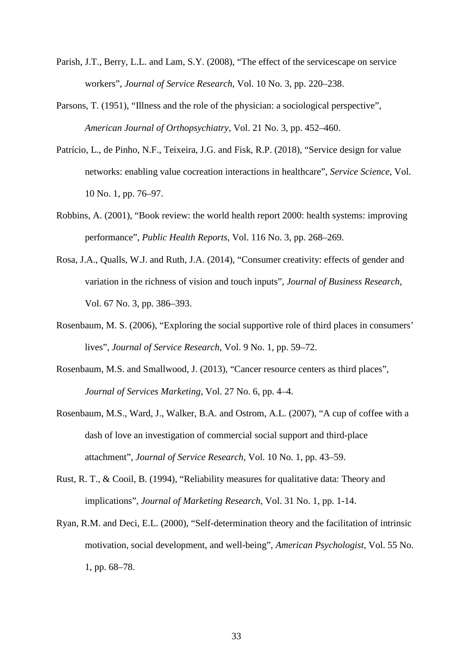- Parish, J.T., Berry, L.L. and Lam, S.Y. (2008), "The effect of the servicescape on service workers", *Journal of Service Research*, Vol. 10 No. 3, pp. 220–238.
- Parsons, T. (1951), "Illness and the role of the physician: a sociological perspective", *American Journal of Orthopsychiatry*, Vol. 21 No. 3, pp. 452–460.
- Patrício, L., de Pinho, N.F., Teixeira, J.G. and Fisk, R.P. (2018), "Service design for value networks: enabling value cocreation interactions in healthcare", *Service Science*, Vol. 10 No. 1, pp. 76–97.
- Robbins, A. (2001), "Book review: the world health report 2000: health systems: improving performance", *Public Health Reports*, Vol. 116 No. 3, pp. 268–269.
- Rosa, J.A., Qualls, W.J. and Ruth, J.A. (2014), "Consumer creativity: effects of gender and variation in the richness of vision and touch inputs", *Journal of Business Research*, Vol. 67 No. 3, pp. 386–393.
- Rosenbaum, M. S. (2006), "Exploring the social supportive role of third places in consumers' lives", *Journal of Service Research*, Vol. 9 No. 1, pp. 59–72.
- Rosenbaum, M.S. and Smallwood, J. (2013), "Cancer resource centers as third places", *Journal of Services Marketing*, Vol. 27 No. 6, pp. 4–4.
- Rosenbaum, M.S., Ward, J., Walker, B.A. and Ostrom, A.L. (2007), "A cup of coffee with a dash of love an investigation of commercial social support and third-place attachment", *Journal of Service Research*, Vol. 10 No. 1, pp. 43–59.
- Rust, R. T., & Cooil, B. (1994), "Reliability measures for qualitative data: Theory and implications", *Journal of Marketing Research*, Vol. 31 No. 1, pp. 1-14.
- Ryan, R.M. and Deci, E.L. (2000), "Self-determination theory and the facilitation of intrinsic motivation, social development, and well-being", *American Psychologist*, Vol. 55 No. 1, pp. 68–78.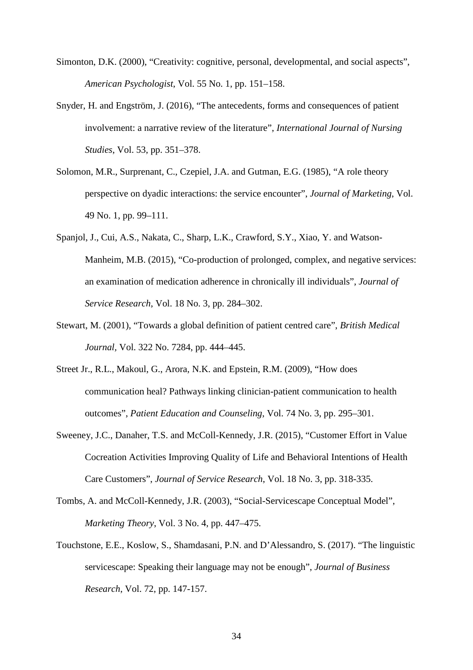- Simonton, D.K. (2000), "Creativity: cognitive, personal, developmental, and social aspects", *American Psychologist*, Vol. 55 No. 1, pp. 151–158.
- Snyder, H. and Engström, J. (2016), "The antecedents, forms and consequences of patient involvement: a narrative review of the literature", *International Journal of Nursing Studies*, Vol. 53, pp. 351–378.
- Solomon, M.R., Surprenant, C., Czepiel, J.A. and Gutman, E.G. (1985), "A role theory perspective on dyadic interactions: the service encounter", *Journal of Marketing*, Vol. 49 No. 1, pp. 99–111.
- Spanjol, J., Cui, A.S., Nakata, C., Sharp, L.K., Crawford, S.Y., Xiao, Y. and Watson-Manheim, M.B. (2015), "Co-production of prolonged, complex, and negative services: an examination of medication adherence in chronically ill individuals", *Journal of Service Research*, Vol. 18 No. 3, pp. 284–302.
- Stewart, M. (2001), "Towards a global definition of patient centred care", *British Medical Journal,* Vol. 322 No. 7284, pp. 444–445.
- Street Jr., R.L., Makoul, G., Arora, N.K. and Epstein, R.M. (2009), "How does communication heal? Pathways linking clinician-patient communication to health outcomes", *Patient Education and Counseling*, Vol. 74 No. 3, pp. 295–301.
- Sweeney, J.C., Danaher, T.S. and McColl-Kennedy, J.R. (2015), "Customer Effort in Value Cocreation Activities Improving Quality of Life and Behavioral Intentions of Health Care Customers", *Journal of Service Research*, Vol. 18 No. 3, pp. 318-335.
- Tombs, A. and McColl-Kennedy, J.R. (2003), "Social-Servicescape Conceptual Model", *Marketing Theory*, Vol. 3 No. 4, pp. 447–475.
- Touchstone, E.E., Koslow, S., Shamdasani, P.N. and D'Alessandro, S. (2017). "The linguistic servicescape: Speaking their language may not be enough", *Journal of Business Research*, Vol. 72, pp. 147-157.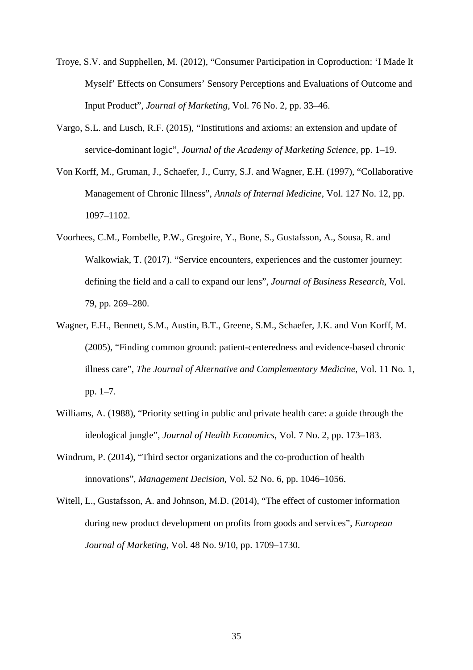- Troye, S.V. and Supphellen, M. (2012), "Consumer Participation in Coproduction: 'I Made It Myself' Effects on Consumers' Sensory Perceptions and Evaluations of Outcome and Input Product", *Journal of Marketing*, Vol. 76 No. 2, pp. 33–46.
- Vargo, S.L. and Lusch, R.F. (2015), "Institutions and axioms: an extension and update of service-dominant logic", *Journal of the Academy of Marketing Science*, pp. 1–19.
- Von Korff, M., Gruman, J., Schaefer, J., Curry, S.J. and Wagner, E.H. (1997), "Collaborative Management of Chronic Illness", *Annals of Internal Medicine*, Vol. 127 No. 12, pp. 1097–1102.
- Voorhees, C.M., Fombelle, P.W., Gregoire, Y., Bone, S., Gustafsson, A., Sousa, R. and Walkowiak, T. (2017). "Service encounters, experiences and the customer journey: defining the field and a call to expand our lens", *Journal of Business Research*, Vol. 79, pp. 269–280.
- Wagner, E.H., Bennett, S.M., Austin, B.T., Greene, S.M., Schaefer, J.K. and Von Korff, M. (2005), "Finding common ground: patient-centeredness and evidence-based chronic illness care", *The Journal of Alternative and Complementary Medicine*, Vol. 11 No. 1, pp. 1–7.
- Williams, A. (1988), "Priority setting in public and private health care: a guide through the ideological jungle", *Journal of Health Economics*, Vol. 7 No. 2, pp. 173–183.
- Windrum, P. (2014), "Third sector organizations and the co-production of health innovations", *Management Decision*, Vol. 52 No. 6, pp. 1046–1056.
- Witell, L., Gustafsson, A. and Johnson, M.D. (2014), "The effect of customer information during new product development on profits from goods and services", *European Journal of Marketing*, Vol. 48 No. 9/10, pp. 1709–1730.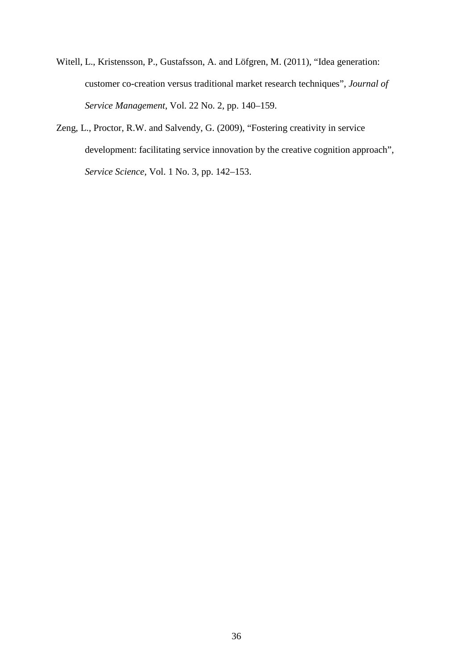- Witell, L., Kristensson, P., Gustafsson, A. and Löfgren, M. (2011), "Idea generation: customer co-creation versus traditional market research techniques", *Journal of Service Management*, Vol. 22 No. 2, pp. 140–159.
- Zeng, L., Proctor, R.W. and Salvendy, G. (2009), "Fostering creativity in service development: facilitating service innovation by the creative cognition approach", *Service Science*, Vol. 1 No. 3, pp. 142–153.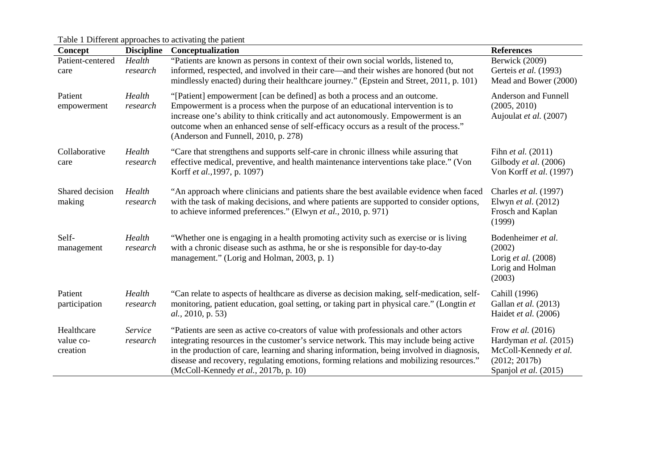Table 1 Different approaches to activating the patient

| Concept                             | <b>Discipline</b>   | <b>Conceptualization</b>                                                                                                                                                                                                                                                                                                                                                                                         | <b>References</b>                                                                                                      |
|-------------------------------------|---------------------|------------------------------------------------------------------------------------------------------------------------------------------------------------------------------------------------------------------------------------------------------------------------------------------------------------------------------------------------------------------------------------------------------------------|------------------------------------------------------------------------------------------------------------------------|
| Patient-centered<br>care            | Health<br>research  | "Patients are known as persons in context of their own social worlds, listened to,<br>informed, respected, and involved in their care—and their wishes are honored (but not<br>mindlessly enacted) during their healthcare journey." (Epstein and Street, 2011, p. 101)                                                                                                                                          | Berwick (2009)<br>Gerteis et al. (1993)<br>Mead and Bower (2000)                                                       |
| Patient<br>empowerment              | Health<br>research  | "[Patient] empowerment [can be defined] as both a process and an outcome.<br>Empowerment is a process when the purpose of an educational intervention is to<br>increase one's ability to think critically and act autonomously. Empowerment is an<br>outcome when an enhanced sense of self-efficacy occurs as a result of the process."<br>(Anderson and Funnell, 2010, p. 278)                                 | Anderson and Funnell<br>(2005, 2010)<br>Aujoulat et al. (2007)                                                         |
| Collaborative<br>care               | Health<br>research  | "Care that strengthens and supports self-care in chronic illness while assuring that<br>effective medical, preventive, and health maintenance interventions take place." (Von<br>Korff et al., 1997, p. 1097)                                                                                                                                                                                                    | Fihn et al. (2011)<br>Gilbody et al. (2006)<br>Von Korff et al. (1997)                                                 |
| Shared decision<br>making           | Health<br>research  | "An approach where clinicians and patients share the best available evidence when faced<br>with the task of making decisions, and where patients are supported to consider options,<br>to achieve informed preferences." (Elwyn et al., 2010, p. 971)                                                                                                                                                            | Charles et al. (1997)<br>Elwyn et al. (2012)<br>Frosch and Kaplan<br>(1999)                                            |
| Self-<br>management                 | Health<br>research  | "Whether one is engaging in a health promoting activity such as exercise or is living<br>with a chronic disease such as asthma, he or she is responsible for day-to-day<br>management." (Lorig and Holman, 2003, p. 1)                                                                                                                                                                                           | Bodenheimer et al.<br>(2002)<br>Lorig et al. (2008)<br>Lorig and Holman<br>(2003)                                      |
| Patient<br>participation            | Health<br>research  | "Can relate to aspects of healthcare as diverse as decision making, self-medication, self-<br>monitoring, patient education, goal setting, or taking part in physical care." (Longtin et<br><i>al.</i> , 2010, p. 53)                                                                                                                                                                                            | Cahill (1996)<br>Gallan et al. (2013)<br>Haidet et al. (2006)                                                          |
| Healthcare<br>value co-<br>creation | Service<br>research | "Patients are seen as active co-creators of value with professionals and other actors<br>integrating resources in the customer's service network. This may include being active<br>in the production of care, learning and sharing information, being involved in diagnosis,<br>disease and recovery, regulating emotions, forming relations and mobilizing resources."<br>(McColl-Kennedy et al., 2017b, p. 10) | Frow <i>et al.</i> (2016)<br>Hardyman et al. (2015)<br>McColl-Kennedy et al.<br>(2012; 2017b)<br>Spanjol et al. (2015) |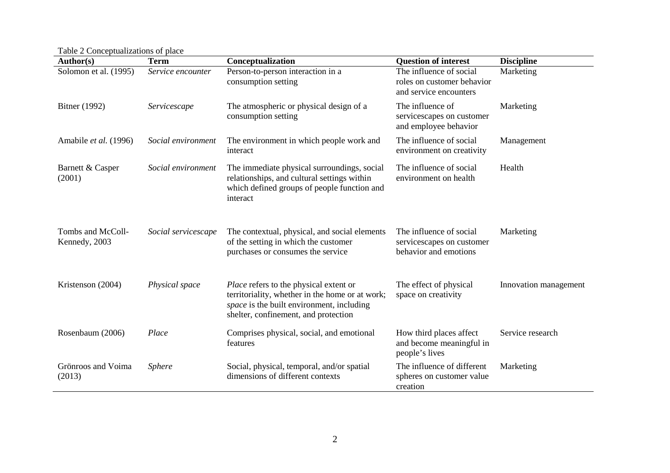Table 2 Conceptualizations of place

| Author(s)                          | <b>Term</b>         | Conceptualization                                                                                                                                                                     | <b>Question of interest</b>                                                     | <b>Discipline</b>     |
|------------------------------------|---------------------|---------------------------------------------------------------------------------------------------------------------------------------------------------------------------------------|---------------------------------------------------------------------------------|-----------------------|
| Solomon et al. (1995)              | Service encounter   | Person-to-person interaction in a<br>consumption setting                                                                                                                              | The influence of social<br>roles on customer behavior<br>and service encounters | Marketing             |
| Bitner (1992)                      | Servicescape        | The atmospheric or physical design of a<br>consumption setting                                                                                                                        | The influence of<br>servicescapes on customer<br>and employee behavior          | Marketing             |
| Amabile et al. (1996)              | Social environment  | The environment in which people work and<br>interact                                                                                                                                  | The influence of social<br>environment on creativity                            | Management            |
| Barnett & Casper<br>(2001)         | Social environment  | The immediate physical surroundings, social<br>relationships, and cultural settings within<br>which defined groups of people function and<br>interact                                 | The influence of social<br>environment on health                                | Health                |
| Tombs and McColl-<br>Kennedy, 2003 | Social servicescape | The contextual, physical, and social elements<br>of the setting in which the customer<br>purchases or consumes the service                                                            | The influence of social<br>servicescapes on customer<br>behavior and emotions   | Marketing             |
| Kristenson (2004)                  | Physical space      | <i>Place</i> refers to the physical extent or<br>territoriality, whether in the home or at work;<br>space is the built environment, including<br>shelter, confinement, and protection | The effect of physical<br>space on creativity                                   | Innovation management |
| Rosenbaum (2006)                   | Place               | Comprises physical, social, and emotional<br>features                                                                                                                                 | How third places affect<br>and become meaningful in<br>people's lives           | Service research      |
| Grönroos and Voima<br>(2013)       | <b>Sphere</b>       | Social, physical, temporal, and/or spatial<br>dimensions of different contexts                                                                                                        | The influence of different<br>spheres on customer value<br>creation             | Marketing             |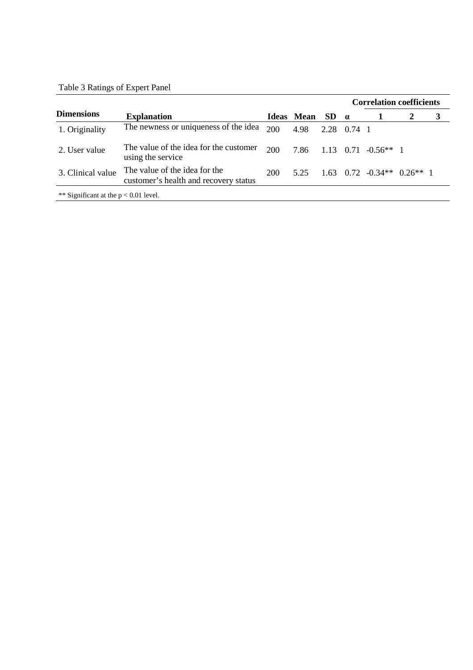# Table 3 Ratings of Expert Panel

|                                         |                                                                        |            |                   |     | <b>Correlation coefficients</b> |                                            |  |   |
|-----------------------------------------|------------------------------------------------------------------------|------------|-------------------|-----|---------------------------------|--------------------------------------------|--|---|
| <b>Dimensions</b>                       | <b>Explanation</b>                                                     |            | <b>Ideas Mean</b> | SD. | $\alpha$                        |                                            |  | 3 |
| 1. Originality                          | The newness or uniqueness of the idea                                  | 200        | 4.98              |     | 2.28 0.74 1                     |                                            |  |   |
| 2. User value                           | The value of the idea for the customer<br>using the service            | <b>200</b> | 7.86              |     |                                 | $1.13 \quad 0.71 \quad -0.56** \quad 1$    |  |   |
| 3. Clinical value                       | The value of the idea for the<br>customer's health and recovery status | 200        | 5.25              |     |                                 | $1.63$ 0.72 $-0.34**$ 0.26 <sup>**</sup> 1 |  |   |
| ** Significant at the $p < 0.01$ level. |                                                                        |            |                   |     |                                 |                                            |  |   |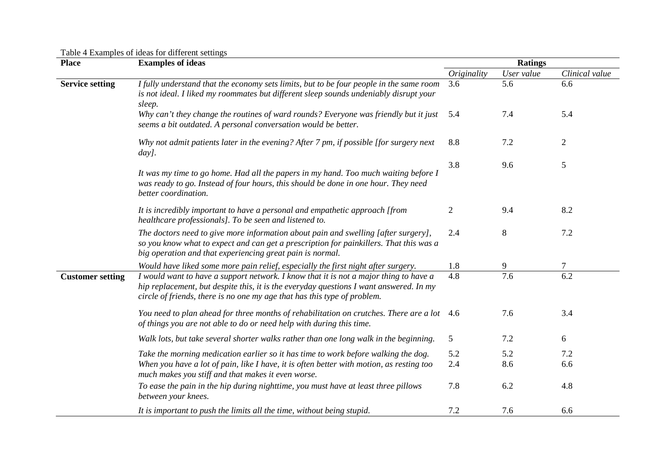Table 4 Examples of ideas for different settings

| <b>Place</b>            | <b>Examples of ideas</b>                                                                                                                                                                                                                                    |                  | <b>Ratings</b> |                  |  |  |
|-------------------------|-------------------------------------------------------------------------------------------------------------------------------------------------------------------------------------------------------------------------------------------------------------|------------------|----------------|------------------|--|--|
|                         |                                                                                                                                                                                                                                                             | Originality      | User value     | Clinical value   |  |  |
| <b>Service setting</b>  | I fully understand that the economy sets limits, but to be four people in the same room<br>is not ideal. I liked my roommates but different sleep sounds undeniably disrupt your<br>sleep.                                                                  | 3.6              | 5.6            | 6.6              |  |  |
|                         | Why can't they change the routines of ward rounds? Everyone was friendly but it just<br>seems a bit outdated. A personal conversation would be better.                                                                                                      | 5.4              | 7.4            | 5.4              |  |  |
|                         | Why not admit patients later in the evening? After 7 pm, if possible [for surgery next<br>day].                                                                                                                                                             | 8.8              | 7.2            | $\overline{c}$   |  |  |
|                         | It was my time to go home. Had all the papers in my hand. Too much waiting before I<br>was ready to go. Instead of four hours, this should be done in one hour. They need<br>better coordination.                                                           | 3.8              | 9.6            | 5                |  |  |
|                         | It is incredibly important to have a personal and empathetic approach [from<br>healthcare professionals]. To be seen and listened to.                                                                                                                       | $\overline{2}$   | 9.4            | 8.2              |  |  |
|                         | The doctors need to give more information about pain and swelling [after surgery],<br>so you know what to expect and can get a prescription for painkillers. That this was a<br>big operation and that experiencing great pain is normal.                   | 2.4              | 8              | 7.2              |  |  |
|                         | Would have liked some more pain relief, especially the first night after surgery.                                                                                                                                                                           | 1.8              | 9              | 7                |  |  |
| <b>Customer setting</b> | I would want to have a support network. I know that it is not a major thing to have a<br>hip replacement, but despite this, it is the everyday questions I want answered. In my<br>circle of friends, there is no one my age that has this type of problem. | $\overline{4.8}$ | 7.6            | $\overline{6.2}$ |  |  |
|                         | You need to plan ahead for three months of rehabilitation on crutches. There are a lot 4.6<br>of things you are not able to do or need help with during this time.                                                                                          |                  | 7.6            | 3.4              |  |  |
|                         | Walk lots, but take several shorter walks rather than one long walk in the beginning.                                                                                                                                                                       | 5                | 7.2            | 6                |  |  |
|                         | Take the morning medication earlier so it has time to work before walking the dog.                                                                                                                                                                          | 5.2              | 5.2            | 7.2              |  |  |
|                         | When you have a lot of pain, like I have, it is often better with motion, as resting too<br>much makes you stiff and that makes it even worse.                                                                                                              | 2.4              | 8.6            | 6.6              |  |  |
|                         | To ease the pain in the hip during nighttime, you must have at least three pillows<br>between your knees.                                                                                                                                                   | 7.8              | 6.2            | 4.8              |  |  |
|                         | It is important to push the limits all the time, without being stupid.                                                                                                                                                                                      | 7.2              | 7.6            | 6.6              |  |  |